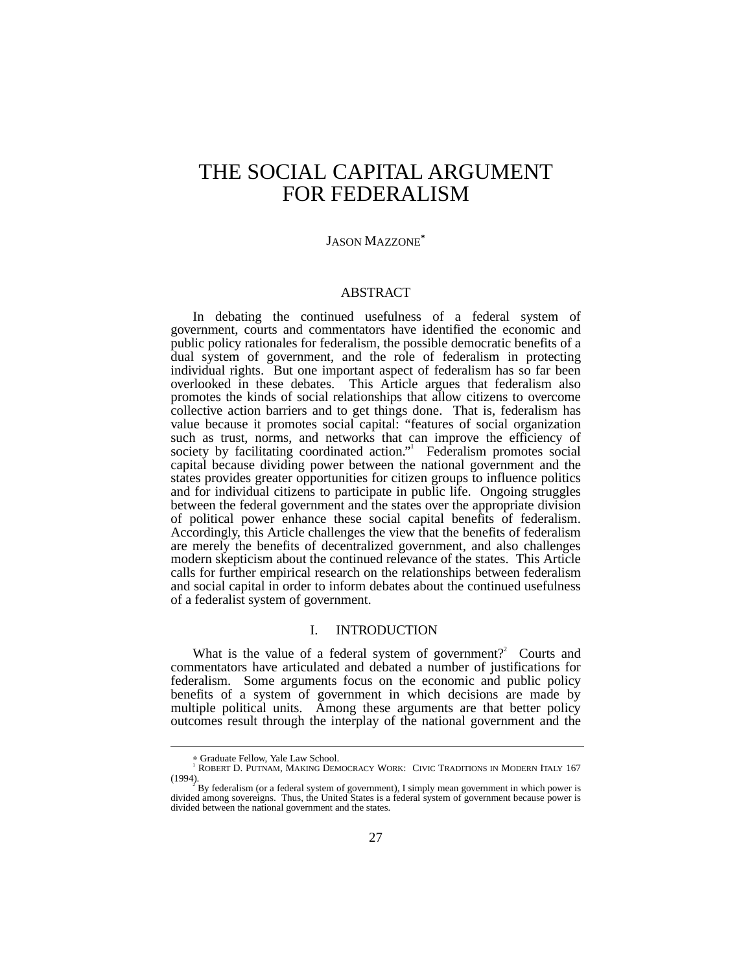# THE SOCIAL CAPITAL ARGUMENT FOR FEDERALISM

# JASON MAZZONE<sup>∗</sup>

## ABSTRACT

In debating the continued usefulness of a federal system of government, courts and commentators have identified the economic and public policy rationales for federalism, the possible democratic benefits of a dual system of government, and the role of federalism in protecting individual rights. But one important aspect of federalism has so far been overlooked in these debates. This Article argues that federalism also promotes the kinds of social relationships that allow citizens to overcome collective action barriers and to get things done. That is, federalism has value because it promotes social capital: "features of social organization such as trust, norms, and networks that can improve the efficiency of society by facilitating coordinated action." Federalism promotes social capital because dividing power between the national government and the states provides greater opportunities for citizen groups to influence politics and for individual citizens to participate in public life. Ongoing struggles between the federal government and the states over the appropriate division of political power enhance these social capital benefits of federalism. Accordingly, this Article challenges the view that the benefits of federalism are merely the benefits of decentralized government, and also challenges modern skepticism about the continued relevance of the states. This Article calls for further empirical research on the relationships between federalism and social capital in order to inform debates about the continued usefulness of a federalist system of government.

# I. INTRODUCTION

What is the value of a federal system of government?<sup>2</sup> Courts and commentators have articulated and debated a number of justifications for federalism. Some arguments focus on the economic and public policy benefits of a system of government in which decisions are made by multiple political units. Among these arguments are that better policy outcomes result through the interplay of the national government and the

<sup>−−−&</sup>lt;br>• Graduate Fellow, Yale Law School.<br><sup>1</sup> ROBERT D. PUTNAM, MAKING DEMOCRACY WORK: CIVIC TRADITIONS IN MODERN ITALY 167  $(1994)$ .

By federalism (or a federal system of government), I simply mean government in which power is divided among sovereigns. Thus, the United States is a federal system of government because power is divided between the national government and the states.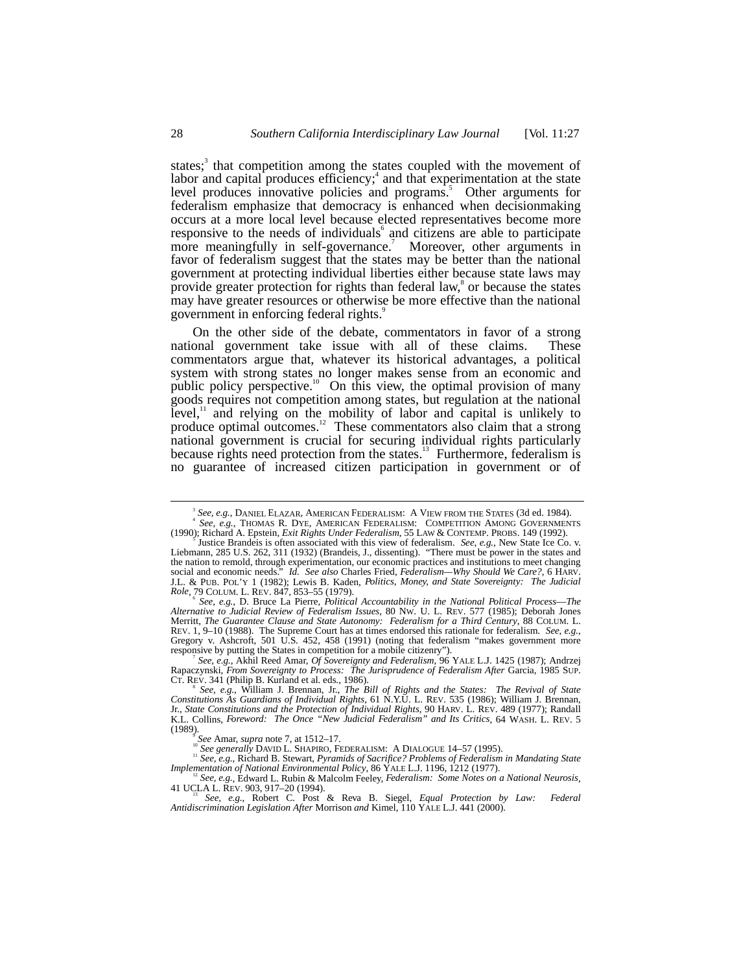states;<sup>3</sup> that competition among the states coupled with the movement of labor and capital produces efficiency;<sup>4</sup> and that experimentation at the state level produces innovative policies and programs.<sup>5</sup> Other arguments for federalism emphasize that democracy is enhanced when decisionmaking occurs at a more local level because elected representatives become more responsive to the needs of individuals and citizens are able to participate more meaningfully in self-governance.<sup>7</sup> Moreover, other arguments in favor of federalism suggest that the states may be better than the national government at protecting individual liberties either because state laws may provide greater protection for rights than federal law, $\degree$  or because the states may have greater resources or otherwise be more effective than the national government in enforcing federal rights.<sup>9</sup>

On the other side of the debate, commentators in favor of a strong national government take issue with all of these claims. These commentators argue that, whatever its historical advantages, a political system with strong states no longer makes sense from an economic and public policy perspective.<sup>10</sup> On this view, the optimal provision of many goods requires not competition among states, but regulation at the national level, $1$  and relying on the mobility of labor and capital is unlikely to produce optimal outcomes.<sup>12</sup> These commentators also claim that a strong national government is crucial for securing individual rights particularly because rights need protection from the states.<sup>13</sup> Furthermore, federalism is no guarantee of increased citizen participation in government or of

*See, e.g.*, D. Bruce La Pierre, *Political Accountability in the National Political Process––The Alternative to Judicial Review of Federalism Issues*, 80 NW. U. L. REV. 577 (1985); Deborah Jones Merritt, *The Guarantee Clause and State Autonomy: Federalism for a Third Century*, 88 COLUM. L. REV. 1, 9–10 (1988). The Supreme Court has at times endorsed this rationale for federalism. *See, e.g.*, Gregory v. Ashcroft, 501 U.S. 452, 458 (1991) (noting that federalism "makes government more responsive by putting the States in competition for a mobile citizenry").

*See, e.g.*, Akhil Reed Amar, *Of Sovereignty and Federalism*, 96 YALE L.J. 1425 (1987); Andrzej Rapaczynski, *From Sovereignty to Process: The Jurisprudence of Federalism After Garcia*, 1985 SUP.<br>CT. REV. 341 (Philip B. Kurland et al. eds., 1986).

 $\frac{1}{3}$ *See, e.g.*, DANIEL ELAZAR, AMERICAN FEDERALISM: A VIEW FROM THE STATES (3d ed. 1984). <sup>4</sup> <sup>4</sup> See, e.g., THOMAS R. DYE, AMERICAN FEDERALISM: COMPETITION AMONG GOVERNMENTS<br>(1990); Richard A. Epstein, *Exit Rights Under Federalism*, 55 LAW & CONTEMP. PROBS. 149 (1992).

Justice Brandeis is often associated with this view of federalism. *See, e.g.*, New State Ice Co. v. Liebmann, 285 U.S. 262, 311 (1932) (Brandeis, J., dissenting). "There must be power in the states and the nation to remold, through experimentation, our economic practices and institutions to meet changing social and economic needs." *Id. See also* Charles Fried, *Federalism—Why Should We Care?*, 6 HARV. J.L. & PUB. POL'Y 1 (1982); Lewis B. Kaden, *Politics, Money, and State Sovereignty: The Judicial Role*, 79 COLUM. L. REV. 847, 853-55 (1979).

*See, e.g.*, William J. Brennan, Jr., *The Bill of Rights and the States: The Revival of State Constitutions As Guardians of Individual Rights*, 61 N.Y.U. L. REV. 535 (1986); William J. Brennan, Jr., *State Constitutions and the Protection of Individual Rights*, 90 HARV. L. REV. 489 (1977); Randall K.L. Collins, *Foreword: The Once "New Judicial Federalism" and Its Critics*, 64 WASH. L. REV. 5 (1989).<br>See Amar, *supra* note 7, at 1512–17.

See generally DAVID L. SHAPIRO, FEDERALISM: A DIALOGUE 14–57 (1995).<br>
<sup>11</sup> See, e.g., Richard B. Stewart, *Pyramids of Sacrifice? Problems of Federalism in Mandating State*<br>
Implementation of National Environmental Policy, *Implementation of National Environmental Policy*, 86 YALE L.J. 1196, 1212 (1977).<br><sup>12</sup> *See, e.g.*, Edward L. Rubin & Malcolm Feeley, *Federalism: Some Notes on a National Neurosis*,

<sup>41</sup> UCLA L. REV. 903, 917–20 (1994). <sup>13</sup> *See, e.g.*, Robert C. Post & Reva B. Siegel, *Equal Protection by Law: Federal*

*Antidiscrimination Legislation After* Morrison *and* Kimel, 110 YALE L.J. 441 (2000).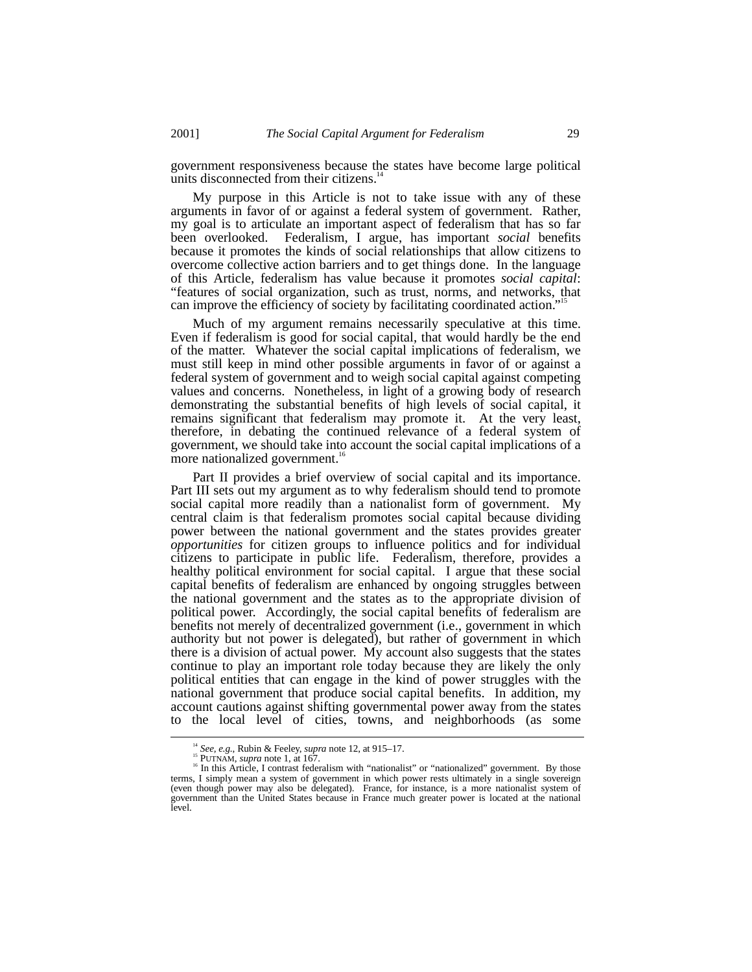government responsiveness because the states have become large political units disconnected from their citizens.<sup>1</sup>

My purpose in this Article is not to take issue with any of these arguments in favor of or against a federal system of government. Rather, my goal is to articulate an important aspect of federalism that has so far been overlooked. Federalism, I argue, has important *social* benefits because it promotes the kinds of social relationships that allow citizens to overcome collective action barriers and to get things done. In the language of this Article, federalism has value because it promotes *social capital*: "features of social organization, such as trust, norms, and networks, that can improve the efficiency of society by facilitating coordinated action." 15

Much of my argument remains necessarily speculative at this time. Even if federalism is good for social capital, that would hardly be the end of the matter. Whatever the social capital implications of federalism, we must still keep in mind other possible arguments in favor of or against a federal system of government and to weigh social capital against competing values and concerns. Nonetheless, in light of a growing body of research demonstrating the substantial benefits of high levels of social capital, it remains significant that federalism may promote it. At the very least, therefore, in debating the continued relevance of a federal system of government, we should take into account the social capital implications of a more nationalized government.<sup>16</sup>

Part II provides a brief overview of social capital and its importance. Part III sets out my argument as to why federalism should tend to promote social capital more readily than a nationalist form of government. My central claim is that federalism promotes social capital because dividing power between the national government and the states provides greater *opportunities* for citizen groups to influence politics and for individual citizens to participate in public life. Federalism, therefore, provides a healthy political environment for social capital. I argue that these social capital benefits of federalism are enhanced by ongoing struggles between the national government and the states as to the appropriate division of political power. Accordingly, the social capital benefits of federalism are benefits not merely of decentralized government (i.e., government in which authority but not power is delegated), but rather of government in which there is a division of actual power. My account also suggests that the states continue to play an important role today because they are likely the only political entities that can engage in the kind of power struggles with the national government that produce social capital benefits. In addition, my account cautions against shifting governmental power away from the states to the local level of cities, towns, and neighborhoods (as some

<sup>&</sup>lt;sup>14</sup> *See, e.g.*, Rubin & Feeley, *supra* note 12, at 915–17.<br><sup>15</sup> PUTNAM, *supra* note 1, at 167. <sup>16</sup> In this Article, I contrast federalism with "nationalist" or "nationalized" government. By those terms, I simply mean a system of government in which power rests ultimately in a single sovereign (even though power may also be delegated). France, for instance, is a more nationalist system of government than the United States because in France much greater power is located at the national level.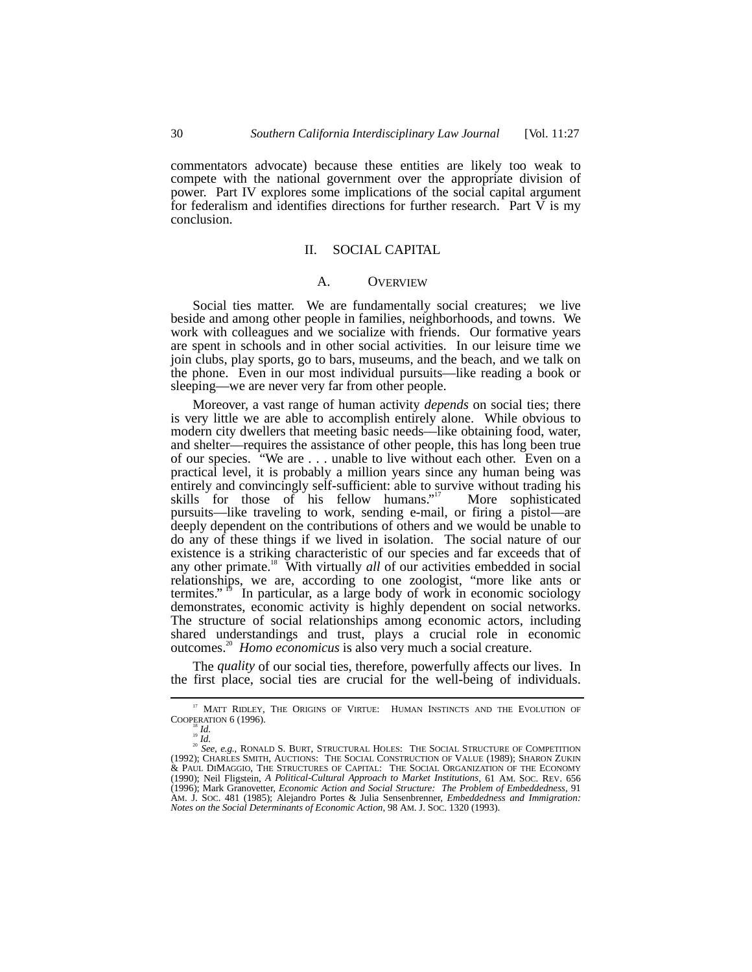commentators advocate) because these entities are likely too weak to compete with the national government over the appropriate division of power. Part IV explores some implications of the social capital argument for federalism and identifies directions for further research. Part V is my conclusion.

# II. SOCIAL CAPITAL

### A. OVERVIEW

Social ties matter. We are fundamentally social creatures; we live beside and among other people in families, neighborhoods, and towns. We work with colleagues and we socialize with friends. Our formative years are spent in schools and in other social activities. In our leisure time we join clubs, play sports, go to bars, museums, and the beach, and we talk on the phone. Even in our most individual pursuits––like reading a book or sleeping––we are never very far from other people.

Moreover, a vast range of human activity *depends* on social ties; there is very little we are able to accomplish entirely alone. While obvious to modern city dwellers that meeting basic needs––like obtaining food, water, and shelter––requires the assistance of other people, this has long been true of our species. "We are . . . unable to live without each other. Even on a practical level, it is probably a million years since any human being was entirely and convincingly self-sufficient: able to survive without trading his skills for those of his fellow humans."<sup>17</sup> More sophisticated pursuits––like traveling to work, sending e-mail, or firing a pistol––are deeply dependent on the contributions of others and we would be unable to do any of these things if we lived in isolation. The social nature of our existence is a striking characteristic of our species and far exceeds that of any other primate.<sup>18</sup> With virtually *all* of our activities embedded in social relationships, we are, according to one zoologist, "more like ants or termites."<sup>19</sup> In particular, as a large body of work in economic sociology demonstrates, economic activity is highly dependent on social networks. The structure of social relationships among economic actors, including shared understandings and trust, plays a crucial role in economic outcomes.20 *Homo economicus* is also very much a social creature.

The *quality* of our social ties, therefore, powerfully affects our lives. In the first place, social ties are crucial for the well-being of individuals.

 $^{17}$  MATT RIDLEY, THE ORIGINS OF VIRTUE: HUMAN INSTINCTS AND THE EVOLUTION OF COOPERATION 6 (1996). COOPERATION 6 (1996).<br><sup>18</sup> *Id.* 20 *Id.*<br><sup>20</sup> *See, e.g.*, RONALD S. BURT, STRUCTURAL HOLES: THE SOCIAL STRUCTURE OF COMPETITION

<sup>(1992);</sup> CHARLES SMITH, AUCTIONS: THE SOCIAL CONSTRUCTION OF VALUE (1989); SHARON ZUKIN & PAUL DIMAGGIO, THE STRUCTURES OF CAPITAL: THE SOCIAL ORGANIZATION OF THE ECONOMY (1990); Neil Fligstein, *A Political-Cultural Approach to Market Institutions*, 61 AM. SOC. REV. 656 (1996); Mark Granovetter, *Economic Action and Social Structure: The Problem of Embeddedness*, 91 AM. J. SOC. 481 (1985); Alejandro Portes & Julia Sensenbrenner, *Embeddedness and Immigration: Notes on the Social Determinants of Economic Action*, 98 AM. J. SOC. 1320 (1993).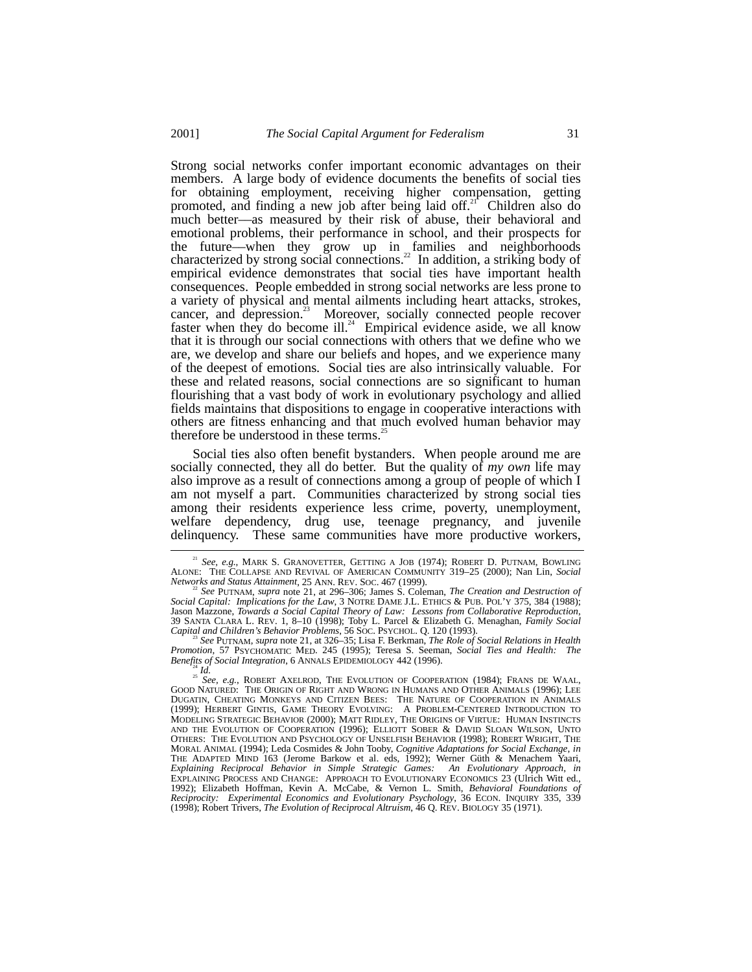Strong social networks confer important economic advantages on their members. A large body of evidence documents the benefits of social ties for obtaining employment, receiving higher compensation, getting promoted, and finding a new job after being laid off.<sup>21</sup> Children also do much better––as measured by their risk of abuse, their behavioral and emotional problems, their performance in school, and their prospects for the future––when they grow up in families and neighborhoods characterized by strong social connections.<sup>22</sup> In addition, a striking body of empirical evidence demonstrates that social ties have important health consequences. People embedded in strong social networks are less prone to a variety of physical and mental ailments including heart attacks, strokes, cancer, and depression.<sup>23</sup> Moreover, socially connected people recover faster when they do become ill.<sup>24</sup> Empirical evidence aside, we all know that it is through our social connections with others that we define who we are, we develop and share our beliefs and hopes, and we experience many of the deepest of emotions. Social ties are also intrinsically valuable. For these and related reasons, social connections are so significant to human flourishing that a vast body of work in evolutionary psychology and allied fields maintains that dispositions to engage in cooperative interactions with others are fitness enhancing and that much evolved human behavior may therefore be understood in these terms.<sup>25</sup>

Social ties also often benefit bystanders. When people around me are socially connected, they all do better. But the quality of *my own* life may also improve as a result of connections among a group of people of which I am not myself a part. Communities characterized by strong social ties among their residents experience less crime, poverty, unemployment, welfare dependency, drug use, teenage pregnancy, and juvenile delinquency. These same communities have more productive workers,

*Capital and Children's Behavior Problems*, 56 SOC. PSYCHOL. Q. 120 (1993). <sup>23</sup> *See* PUTNAM, *supra* note 21, at 326–35; Lisa F. Berkman, *The Role of Social Relations in Health Promotion*, 57 PSYCHOMATIC MED. 245 (1995); Teresa S. Seeman, *Social Ties and Health: The*

<sup>&</sup>lt;sup>21</sup> See, e.g., MARK S. GRANOVETTER, GETTING A JOB (1974); ROBERT D. PUTNAM, BOWLING ALONE: THE COLLAPSE AND REVIVAL OF AMERICAN COMMUNITY 319–25 (2000); Nan Lin, *Social*

*Networks and Status Attainment*, 25 ANN. REV. SOC. 467 (1999). <sup>22</sup> *See* PUTNAM, *supra* note 21, at 296–306; James S. Coleman, *The Creation and Destruction of Social Capital: Implications for the Law*, 3 NOTRE DAME J.L. ETHICS & PUB. POL'Y 375, 384 (1988); 39 SANTA CLARA L. REV. 1, 8–10 (1998); Toby L. Parcel & Elizabeth G. Menaghan, *Family Social Capital and Children's Behavior Problems*, 56 Soc. PsycHoL. Q. 120 (1993).

 $\frac{25 \text{ cm} \cdot \cdot \cdot \cdot}{24}$  *Id.*<br><sup>25</sup> *See, e.g.*, ROBERT AXELROD, THE EVOLUTION OF COOPERATION (1984); FRANS DE WAAL, GOOD NATURED: THE ORIGIN OF RIGHT AND WRONG IN HUMANS AND OTHER ANIMALS (1996); LEE DUGATIN, CHEATING MONKEYS AND CITIZEN BEES: THE NATURE OF COOPERATION IN ANIMALS (1999); HERBERT GINTIS, GAME THEORY EVOLVING: A PROBLEM-CENTERED INTRODUCTION TO MODELING STRATEGIC BEHAVIOR (2000); MATT RIDLEY, THE ORIGINS OF VIRTUE: HUMAN INSTINCTS AND THE EVOLUTION OF COOPERATION (1996); ELLIOTT SOBER & DAVID SLOAN WILSON, UNTO OTHERS: THE EVOLUTION AND PSYCHOLOGY OF UNSELFISH BEHAVIOR (1998); ROBERT WRIGHT, THE MORAL ANIMAL (1994); Leda Cosmides & John Tooby, *Cognitive Adaptations for Social Exchange*, *in* THE ADAPTED MIND 163 (Jerome Barkow et al. eds, 1992); Werner Güth & Menachem Yaari, *Explaining Reciprocal Behavior in Simple Strategic Games: An Evolutionary Approach*, *in* EXPLAINING PROCESS AND CHANGE: APPROACH TO EVOLUTIONARY ECONOMICS 23 (Ulrich Witt ed., 1992); Elizabeth Hoffman, Kevin A. McCabe, & Vernon L. Smith, *Behavioral Foundations of Reciprocity: Experimental Economics and Evolutionary Psychology*, 36 ECON. INQUIRY 335, 339 (1998); Robert Trivers, *The Evolution of Reciprocal Altruism*, 46 Q. REV. BIOLOGY 35 (1971).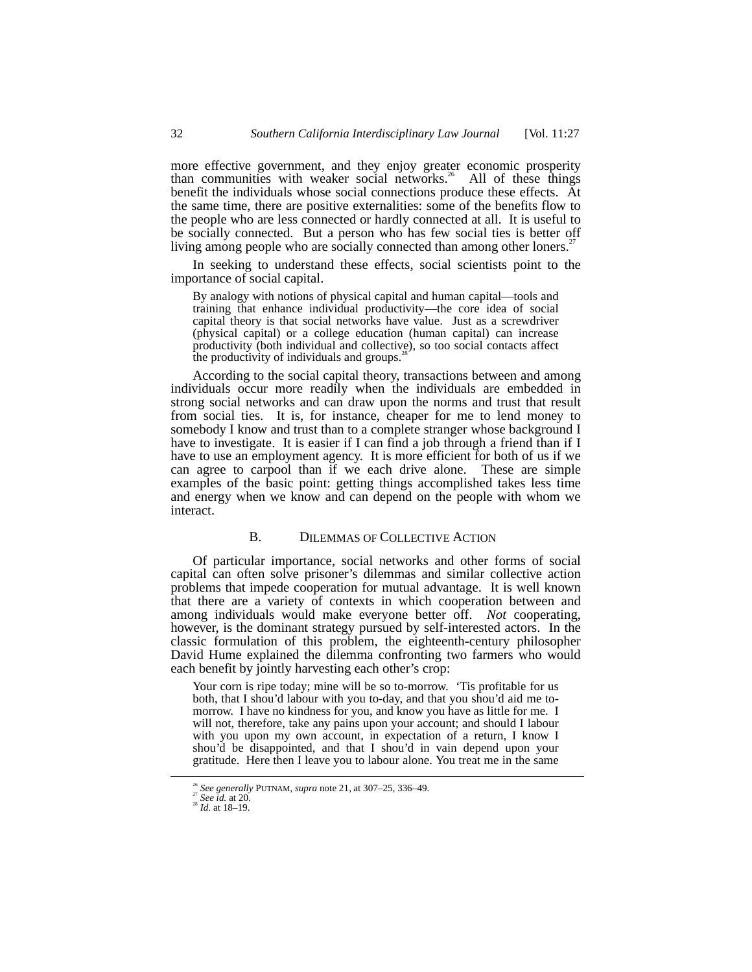more effective government, and they enjoy greater economic prosperity than communities with weaker social networks.<sup>26</sup> All of these things benefit the individuals whose social connections produce these effects. At the same time, there are positive externalities: some of the benefits flow to the people who are less connected or hardly connected at all. It is useful to be socially connected. But a person who has few social ties is better off living among people who are socially connected than among other loners.<sup>2</sup>

In seeking to understand these effects, social scientists point to the importance of social capital.

By analogy with notions of physical capital and human capital––tools and training that enhance individual productivity––the core idea of social capital theory is that social networks have value. Just as a screwdriver (physical capital) or a college education (human capital) can increase productivity (both individual and collective), so too social contacts affect the productivity of individuals and groups. $\dot{2}$ 

According to the social capital theory, transactions between and among individuals occur more readily when the individuals are embedded in strong social networks and can draw upon the norms and trust that result from social ties. It is, for instance, cheaper for me to lend money to somebody I know and trust than to a complete stranger whose background I have to investigate. It is easier if I can find a job through a friend than if I have to use an employment agency. It is more efficient for both of us if we can agree to carpool than if we each drive alone. These are simple examples of the basic point: getting things accomplished takes less time and energy when we know and can depend on the people with whom we interact.

## B. DILEMMAS OF COLLECTIVE ACTION

Of particular importance, social networks and other forms of social capital can often solve prisoner's dilemmas and similar collective action problems that impede cooperation for mutual advantage. It is well known that there are a variety of contexts in which cooperation between and among individuals would make everyone better off. *Not* cooperating, however, is the dominant strategy pursued by self-interested actors. In the classic formulation of this problem, the eighteenth-century philosopher David Hume explained the dilemma confronting two farmers who would each benefit by jointly harvesting each other's crop:

Your corn is ripe today; mine will be so to-morrow. 'Tis profitable for us both, that I shou'd labour with you to-day, and that you shou'd aid me tomorrow. I have no kindness for you, and know you have as little for me. I will not, therefore, take any pains upon your account; and should I labour with you upon my own account, in expectation of a return, I know I shou'd be disappointed, and that I shou'd in vain depend upon your gratitude. Here then I leave you to labour alone. You treat me in the same

<sup>&</sup>lt;sup>26</sup> See generally PUTNAM, *supra* note 21, at 307–25, 336–49.<br><sup>27</sup> See *id.* at 20. 28 *Id.* at 18–19.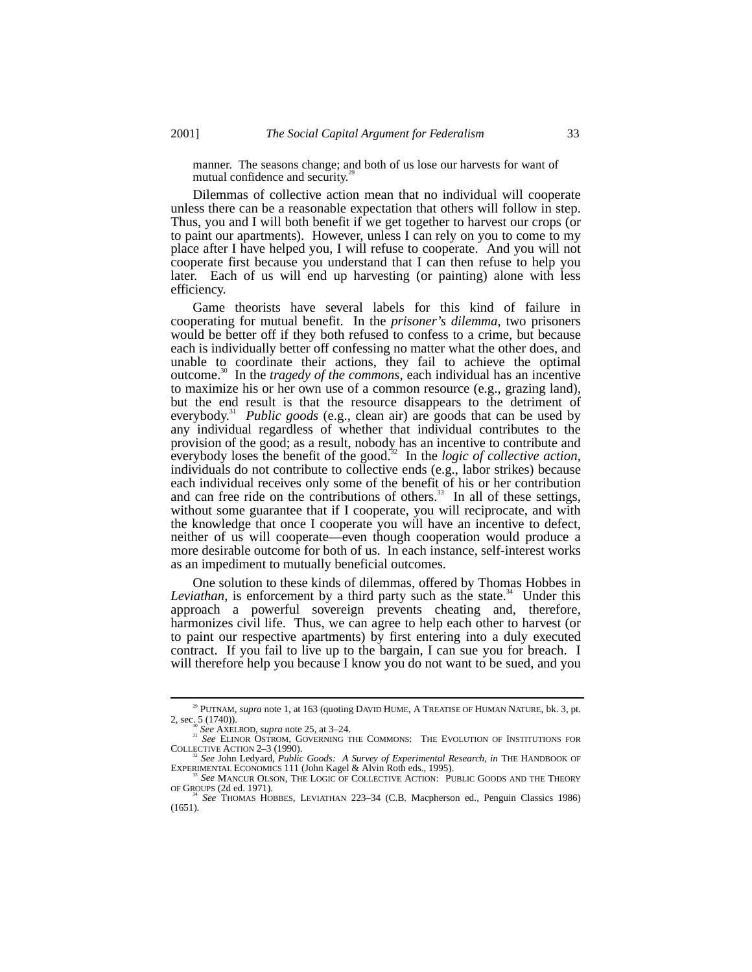manner. The seasons change; and both of us lose our harvests for want of mutual confidence and security.<sup>2</sup>

Dilemmas of collective action mean that no individual will cooperate unless there can be a reasonable expectation that others will follow in step. Thus, you and I will both benefit if we get together to harvest our crops (or to paint our apartments). However, unless I can rely on you to come to my place after I have helped you, I will refuse to cooperate. And you will not cooperate first because you understand that I can then refuse to help you later. Each of us will end up harvesting (or painting) alone with less efficiency.

Game theorists have several labels for this kind of failure in cooperating for mutual benefit. In the *prisoner's dilemma*, two prisoners would be better off if they both refused to confess to a crime, but because each is individually better off confessing no matter what the other does, and unable to coordinate their actions, they fail to achieve the optimal outcome.30 In the *tragedy of the commons*, each individual has an incentive to maximize his or her own use of a common resource (e.g., grazing land), but the end result is that the resource disappears to the detriment of everybody.<sup>31</sup> *Public goods* (e.g., clean air) are goods that can be used by any individual regardless of whether that individual contributes to the provision of the good; as a result, nobody has an incentive to contribute and everybody loses the benefit of the good.<sup>32</sup> In the *logic of collective action*, individuals do not contribute to collective ends (e.g., labor strikes) because each individual receives only some of the benefit of his or her contribution and can free ride on the contributions of others.<sup>33</sup> In all of these settings, without some guarantee that if I cooperate, you will reciprocate, and with the knowledge that once I cooperate you will have an incentive to defect, neither of us will cooperate––even though cooperation would produce a more desirable outcome for both of us. In each instance, self-interest works as an impediment to mutually beneficial outcomes.

One solution to these kinds of dilemmas, offered by Thomas Hobbes in Leviathan, is enforcement by a third party such as the state.<sup>34</sup> Under this approach a powerful sovereign prevents cheating and, therefore, harmonizes civil life. Thus, we can agree to help each other to harvest (or to paint our respective apartments) by first entering into a duly executed contract. If you fail to live up to the bargain, I can sue you for breach. I will therefore help you because I know you do not want to be sued, and you

<sup>&</sup>lt;sup>29</sup> PUTNAM, *supra* note 1, at 163 (quoting DAVID HUME, A TREATISE OF HUMAN NATURE, bk. 3, pt. 2, sec<sub>30.</sub> 2, 1740)).

<sup>&</sup>lt;sup>30</sup> See AXELROD, *supra* note 25, at 3–24.<br><sup>31</sup> *See* ELINOR OSTROM, GOVERNING THE COMMONS: THE EVOLUTION OF INSTITUTIONS FOR COLLECTIVE ACTION 2–3 (1990).

<sup>&</sup>lt;sup>32</sup> *See* John Ledyard, *Public Goods: A Survey of Experimental Research*, *in* THE HANDBOOK OF EXPERIMENTAL ECONOMICS 111 (John Kagel & Alvin Roth eds., 1995). <sup>33</sup> See MANCUR OLSON, THE LOGIC OF COLLECTIVE ACTION: PUBLIC GOODS AND THE THEORY OF GROUPS (2d ed. 1971).

See THOMAS HOBBES, LEVIATHAN 223-34 (C.B. Macpherson ed., Penguin Classics 1986)  $(1651)$ .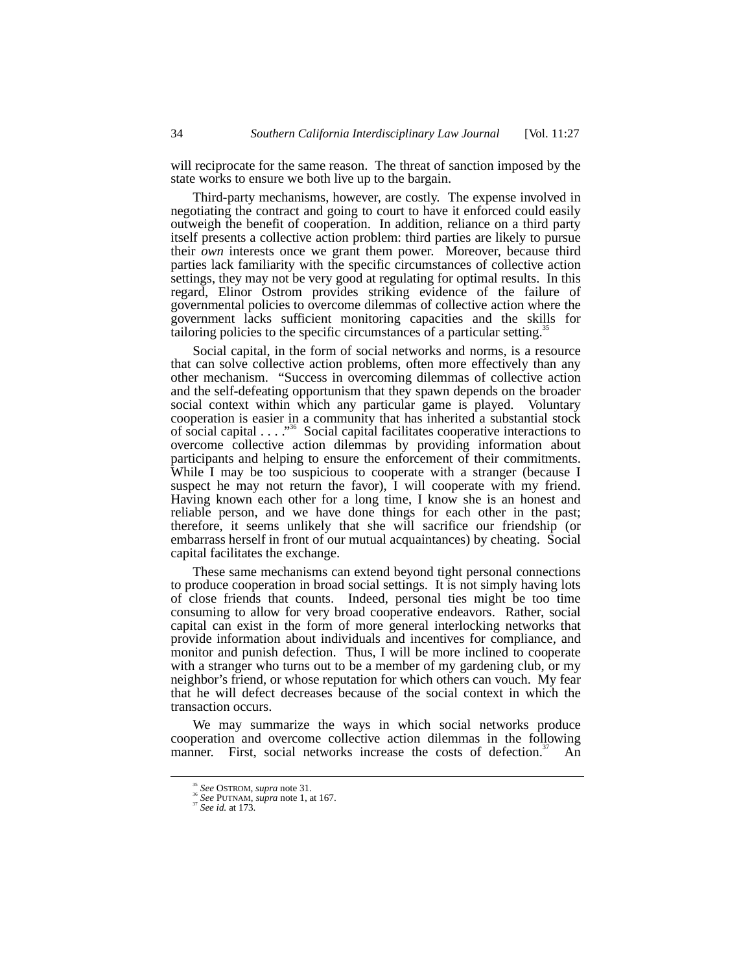will reciprocate for the same reason. The threat of sanction imposed by the state works to ensure we both live up to the bargain.

Third-party mechanisms, however, are costly. The expense involved in negotiating the contract and going to court to have it enforced could easily outweigh the benefit of cooperation. In addition, reliance on a third party itself presents a collective action problem: third parties are likely to pursue their *own* interests once we grant them power. Moreover, because third parties lack familiarity with the specific circumstances of collective action settings, they may not be very good at regulating for optimal results. In this regard, Elinor Ostrom provides striking evidence of the failure of governmental policies to overcome dilemmas of collective action where the government lacks sufficient monitoring capacities and the skills for tailoring policies to the specific circumstances of a particular setting.<sup>35</sup>

Social capital, in the form of social networks and norms, is a resource that can solve collective action problems, often more effectively than any other mechanism. "Success in overcoming dilemmas of collective action and the self-defeating opportunism that they spawn depends on the broader social context within which any particular game is played. Voluntary cooperation is easier in a community that has inherited a substantial stock of social capital . . . "<sup>36</sup> Social capital facilitates cooperative interactions to overcome collective action dilemmas by providing information about participants and helping to ensure the enforcement of their commitments. While I may be too suspicious to cooperate with a stranger (because I suspect he may not return the favor), I will cooperate with my friend. Having known each other for a long time, I know she is an honest and reliable person, and we have done things for each other in the past; therefore, it seems unlikely that she will sacrifice our friendship (or embarrass herself in front of our mutual acquaintances) by cheating. Social capital facilitates the exchange.

These same mechanisms can extend beyond tight personal connections to produce cooperation in broad social settings. It is not simply having lots of close friends that counts. Indeed, personal ties might be too time consuming to allow for very broad cooperative endeavors. Rather, social capital can exist in the form of more general interlocking networks that provide information about individuals and incentives for compliance, and monitor and punish defection. Thus, I will be more inclined to cooperate with a stranger who turns out to be a member of my gardening club, or my neighbor's friend, or whose reputation for which others can vouch. My fear that he will defect decreases because of the social context in which the transaction occurs.

We may summarize the ways in which social networks produce cooperation and overcome collective action dilemmas in the following manner. First, social networks increase the costs of defection.<sup>37</sup> An

<sup>35</sup> *See* OSTROM, *supra* note 31. <sup>36</sup> *See* PUTNAM, *supra* note 1, at 167. <sup>37</sup> *See id.* at 173.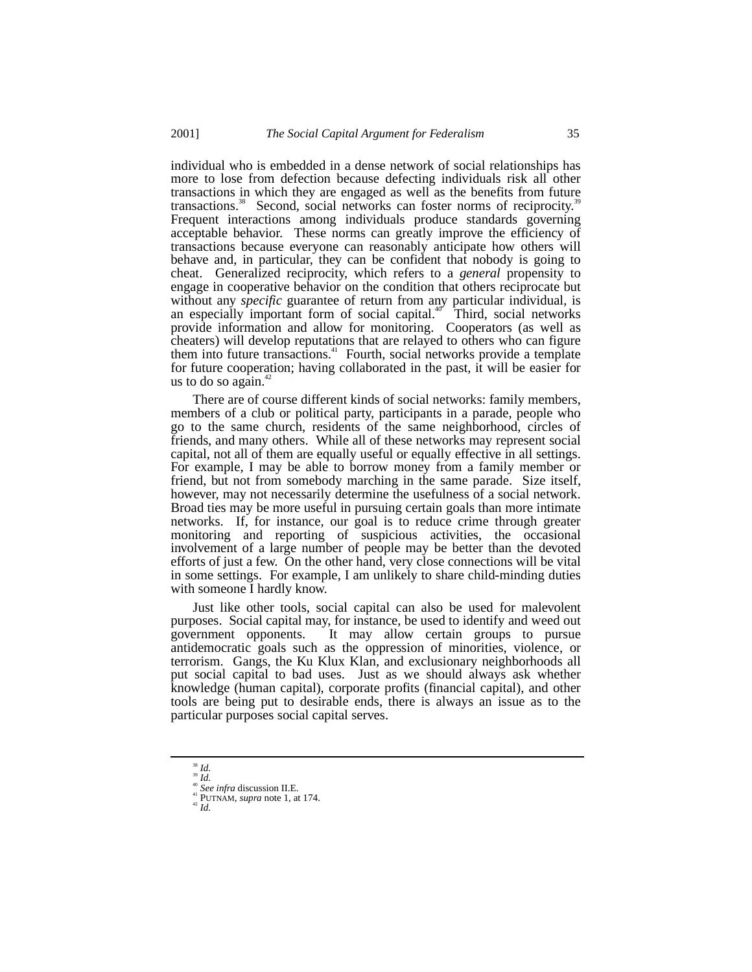individual who is embedded in a dense network of social relationships has more to lose from defection because defecting individuals risk all other transactions in which they are engaged as well as the benefits from future transactions.<sup>38</sup> Second, social networks can foster norms of reciprocity.<sup>39</sup> Frequent interactions among individuals produce standards governing acceptable behavior. These norms can greatly improve the efficiency of transactions because everyone can reasonably anticipate how others will behave and, in particular, they can be confident that nobody is going to cheat. Generalized reciprocity, which refers to a *general* propensity to engage in cooperative behavior on the condition that others reciprocate but without any *specific* guarantee of return from any particular individual, is an especially important form of social capital.<sup>40</sup> Third, social networks provide information and allow for monitoring. Cooperators (as well as cheaters) will develop reputations that are relayed to others who can figure them into future transactions.<sup>41</sup> Fourth, social networks provide a template for future cooperation; having collaborated in the past, it will be easier for us to do so again. $4$ 

There are of course different kinds of social networks: family members, members of a club or political party, participants in a parade, people who go to the same church, residents of the same neighborhood, circles of friends, and many others. While all of these networks may represent social capital, not all of them are equally useful or equally effective in all settings. For example, I may be able to borrow money from a family member or friend, but not from somebody marching in the same parade. Size itself, however, may not necessarily determine the usefulness of a social network. Broad ties may be more useful in pursuing certain goals than more intimate networks. If, for instance, our goal is to reduce crime through greater monitoring and reporting of suspicious activities, the occasional involvement of a large number of people may be better than the devoted efforts of just a few. On the other hand, very close connections will be vital in some settings. For example, I am unlikely to share child-minding duties with someone I hardly know.

Just like other tools, social capital can also be used for malevolent purposes. Social capital may, for instance, be used to identify and weed out government opponents. It may allow certain groups to pursue antidemocratic goals such as the oppression of minorities, violence, or terrorism. Gangs, the Ku Klux Klan, and exclusionary neighborhoods all put social capital to bad uses. Just as we should always ask whether knowledge (human capital), corporate profits (financial capital), and other tools are being put to desirable ends, there is always an issue as to the particular purposes social capital serves.

<sup>&</sup>lt;sup>38</sup> *Id.*<br><sup>40</sup> *See infra* discussion II.E.<br><sup>41</sup> PUTNAM, *supra* note 1, at 174.<br><sup>42</sup> *Id.*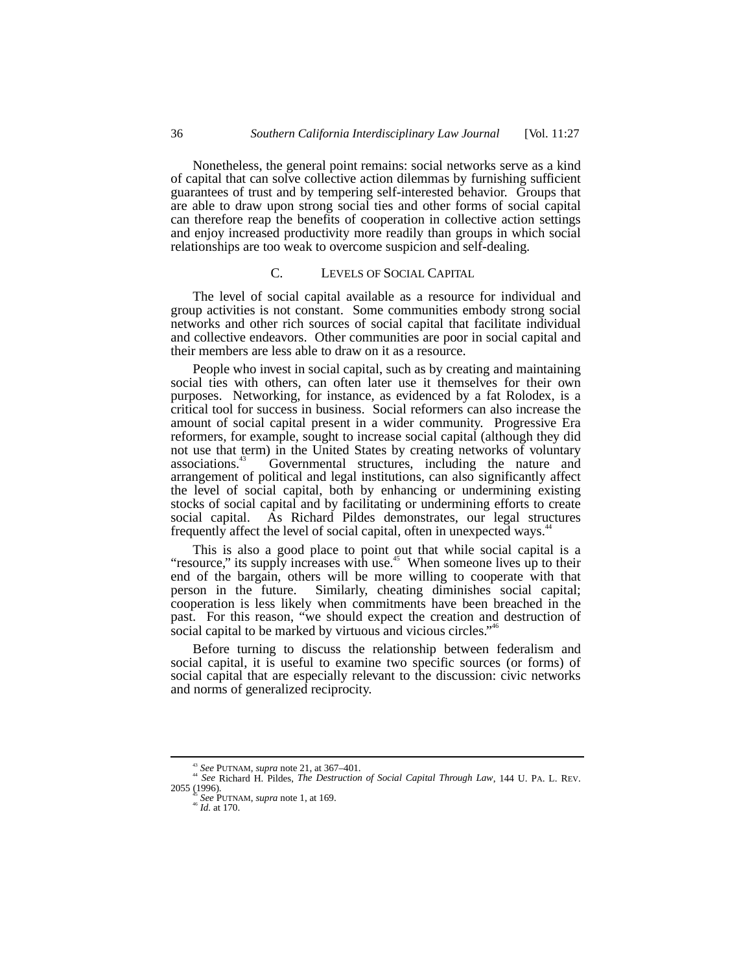Nonetheless, the general point remains: social networks serve as a kind of capital that can solve collective action dilemmas by furnishing sufficient guarantees of trust and by tempering self-interested behavior. Groups that are able to draw upon strong social ties and other forms of social capital can therefore reap the benefits of cooperation in collective action settings and enjoy increased productivity more readily than groups in which social relationships are too weak to overcome suspicion and self-dealing.

#### C. LEVELS OF SOCIAL CAPITAL

The level of social capital available as a resource for individual and group activities is not constant. Some communities embody strong social networks and other rich sources of social capital that facilitate individual and collective endeavors. Other communities are poor in social capital and their members are less able to draw on it as a resource.

People who invest in social capital, such as by creating and maintaining social ties with others, can often later use it themselves for their own purposes. Networking, for instance, as evidenced by a fat Rolodex, is a critical tool for success in business. Social reformers can also increase the amount of social capital present in a wider community. Progressive Era reformers, for example, sought to increase social capital (although they did not use that term) in the United States by creating networks of voluntary associations.<sup>43</sup> Governmental structures, including the nature and Governmental structures, including the nature and arrangement of political and legal institutions, can also significantly affect the level of social capital, both by enhancing or undermining existing stocks of social capital and by facilitating or undermining efforts to create social capital. As Richard Pildes demonstrates, our legal structures frequently affect the level of social capital, often in unexpected ways.<sup>44</sup>

This is also a good place to point out that while social capital is a "resource," its supply increases with use.<sup>45</sup> When someone lives up to their end of the bargain, others will be more willing to cooperate with that person in the future. Similarly, cheating diminishes social capital; cooperation is less likely when commitments have been breached in the past. For this reason, "we should expect the creation and destruction of social capital to be marked by virtuous and vicious circles."<sup>46</sup>

Before turning to discuss the relationship between federalism and social capital, it is useful to examine two specific sources (or forms) of social capital that are especially relevant to the discussion: civic networks and norms of generalized reciprocity.

<sup>&</sup>lt;sup>43</sup> *See* PUTNAM, *supra* note 21, at 367–401.<br><sup>44</sup> *See* Richard H. Pildes, *The Destruction of Social Capital Through Law*, 144 U. PA. L. REV.<br>2055 (1996).

<sup>2055 (1996).</sup> <sup>45</sup> *See* PUTNAM, *supra* note 1, at 169. <sup>46</sup> *Id.* at 170.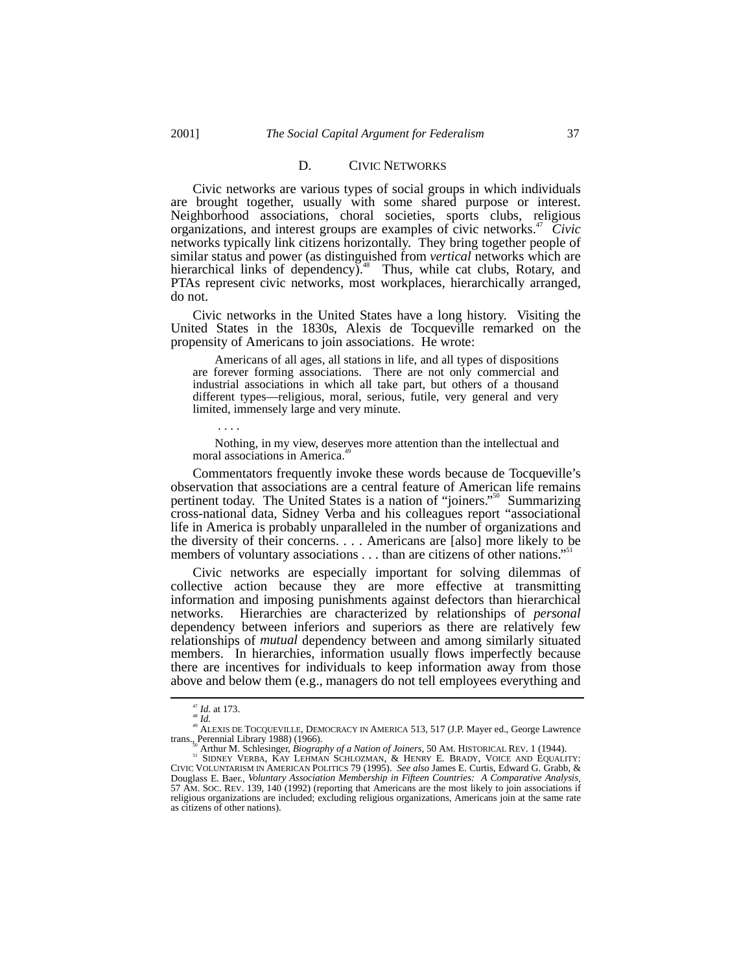## D. CIVIC NETWORKS

Civic networks are various types of social groups in which individuals are brought together, usually with some shared purpose or interest. Neighborhood associations, choral societies, sports clubs, religious organizations, and interest groups are examples of civic networks.<sup>47</sup> *Civic* networks typically link citizens horizontally. They bring together people of similar status and power (as distinguished from *vertical* networks which are hierarchical links of dependency).<sup>48</sup> Thus, while cat clubs, Rotary, and PTAs represent civic networks, most workplaces, hierarchically arranged, do not.

Civic networks in the United States have a long history. Visiting the United States in the 1830s, Alexis de Tocqueville remarked on the propensity of Americans to join associations. He wrote:

Americans of all ages, all stations in life, and all types of dispositions are forever forming associations. There are not only commercial and industrial associations in which all take part, but others of a thousand different types––religious, moral, serious, futile, very general and very limited, immensely large and very minute.

. . . .

Nothing, in my view, deserves more attention than the intellectual and moral associations in America.<sup>4</sup>

Commentators frequently invoke these words because de Tocqueville's observation that associations are a central feature of American life remains pertinent today. The United States is a nation of "joiners."<sup>50</sup> Summarizing cross-national data, Sidney Verba and his colleagues report "associational life in America is probably unparalleled in the number of organizations and the diversity of their concerns. . . . Americans are [also] more likely to be members of voluntary associations . . . than are citizens of other nations." 51

Civic networks are especially important for solving dilemmas of collective action because they are more effective at transmitting information and imposing punishments against defectors than hierarchical networks. Hierarchies are characterized by relationships of *personal* dependency between inferiors and superiors as there are relatively few relationships of *mutual* dependency between and among similarly situated members. In hierarchies, information usually flows imperfectly because there are incentives for individuals to keep information away from those above and below them (e.g., managers do not tell employees everything and

<sup>&</sup>lt;sup>47</sup> *Id.* at 173.<br><sup>48</sup> *Id.* 49 ALEXIS DE TOCQUEVILLE, DEMOCRACY IN AMERICA 513, 517 (J.P. Mayer ed., George Lawrence<br>trans., Perennial Library 1988) (1966).

The United States of Article of Joiners, 50 AM. HISTORICAL REV. 1 (1944).<br>
<sup>51</sup> SIDNEY VERBA, KAY LEHMAN SCHLOZMAN, & HENRY E. BRADY, VOICE AND EQUALITY:<br>
CIVIC VOLUNTARISM IN AMERICAN POLITICS 79 (1995). *See also* James Douglass E. Baer., *Voluntary Association Membership in Fifteen Countries: A Comparative Analysis*, 57 AM. SOC. REV. 139, 140 (1992) (reporting that Americans are the most likely to join associations if religious organizations are included; excluding religious organizations, Americans join at the same rate as citizens of other nations).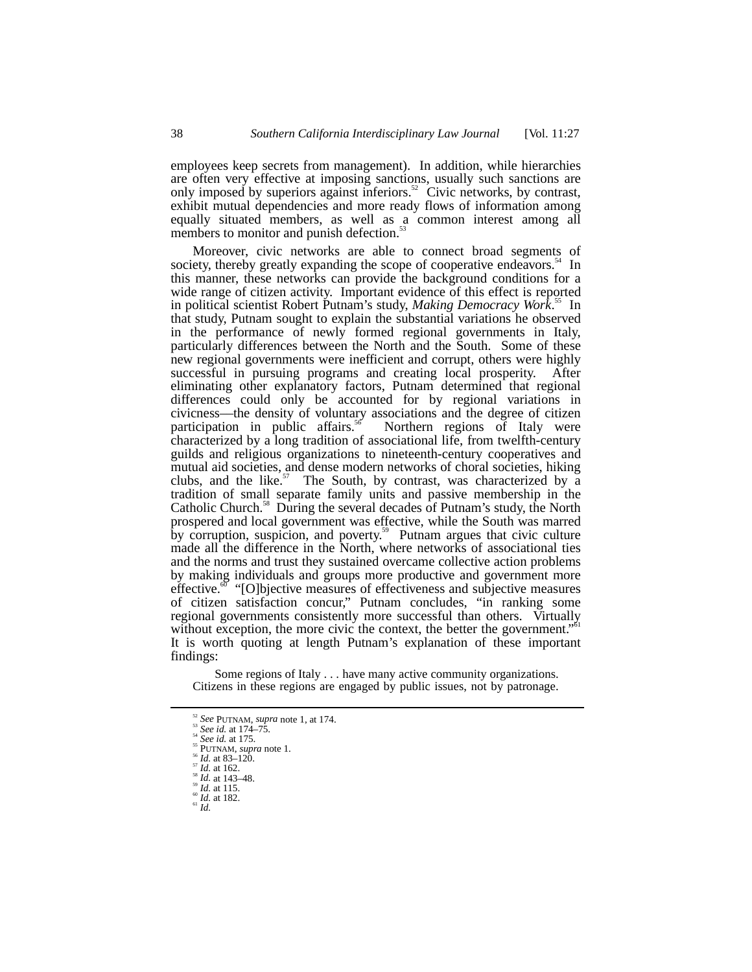employees keep secrets from management). In addition, while hierarchies are often very effective at imposing sanctions, usually such sanctions are only imposed by superiors against inferiors.<sup>52</sup> Civic networks, by contrast, exhibit mutual dependencies and more ready flows of information among equally situated members, as well as a common interest among all members to monitor and punish defection.<sup>53</sup>

Moreover, civic networks are able to connect broad segments of ety, thereby greatly expanding the scope of cooperative endeavors.<sup>54</sup> In society, thereby greatly expanding the scope of cooperative endeavors.<sup>54</sup> this manner, these networks can provide the background conditions for a wide range of citizen activity. Important evidence of this effect is reported in political scientist Robert Putnam's study, *Making Democracy Work*. 55 In that study, Putnam sought to explain the substantial variations he observed in the performance of newly formed regional governments in Italy, particularly differences between the North and the South. Some of these new regional governments were inefficient and corrupt, others were highly successful in pursuing programs and creating local prosperity. After eliminating other explanatory factors, Putnam determined that regional differences could only be accounted for by regional variations in civicness—the density of voluntary associations and the degree of citizen participation in public affairs.<sup>56</sup> Northern regions of Italy were participation in public affairs.<sup>56</sup> characterized by a long tradition of associational life, from twelfth-century guilds and religious organizations to nineteenth-century cooperatives and mutual aid societies, and dense modern networks of choral societies, hiking clubs, and the like. $57$  The South, by contrast, was characterized by a tradition of small separate family units and passive membership in the Catholic Church.<sup>38</sup> During the several decades of Putnam's study, the North prospered and local government was effective, while the South was marred by corruption, suspicion, and poverty.<sup>59</sup> Putnam argues that civic culture made all the difference in the North, where networks of associational ties and the norms and trust they sustained overcame collective action problems by making individuals and groups more productive and government more effective.<sup>60</sup> "[O]bjective measures of effectiveness and subjective measures of citizen satisfaction concur," Putnam concludes, "in ranking some regional governments consistently more successful than others. Virtually without exception, the more civic the context, the better the government." It is worth quoting at length Putnam's explanation of these important findings:

Some regions of Italy . . . have many active community organizations. Citizens in these regions are engaged by public issues, not by patronage.

<sup>&</sup>lt;sup>52</sup> See PUTNAM, supra note 1, at 174.<br>
<sup>53</sup> See id. at 174–75.<br>
<sup>54</sup> See id. at 175.<br>
<sup>55</sup> PUTNAM, supra note 1.<br>
<sup>55</sup> PUTNAM, supra note 1.<br>
<sup>55</sup> Id. at 83–120.<br>
<sup>57</sup> Id. at 162.<br>
<sup>59</sup> Id. at 1143–48.<br>
<sup>69</sup> Id. at 115.<br>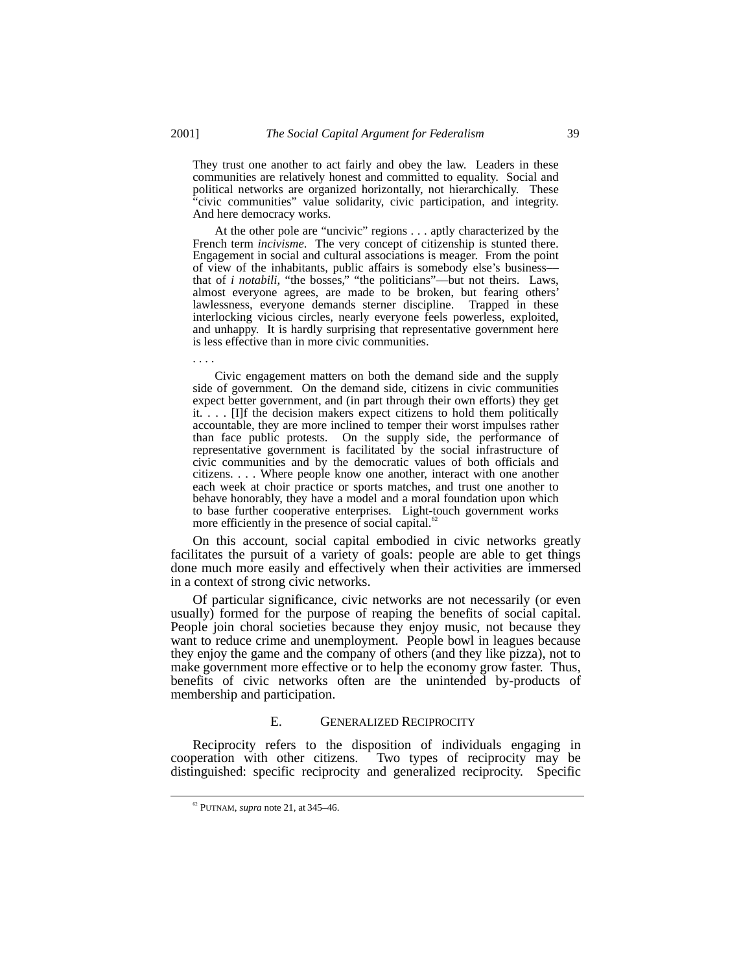They trust one another to act fairly and obey the law. Leaders in these communities are relatively honest and committed to equality. Social and political networks are organized horizontally, not hierarchically. These "civic communities" value solidarity, civic participation, and integrity. And here democracy works.

At the other pole are "uncivic" regions . . . aptly characterized by the French term *incivisme*. The very concept of citizenship is stunted there. Engagement in social and cultural associations is meager. From the point of view of the inhabitants, public affairs is somebody else's business–– that of *i notabili*, "the bosses," "the politicians"—but not theirs. Laws, almost everyone agrees, are made to be broken, but fearing others' lawlessness, everyone demands sterner discipline. Trapped in these interlocking vicious circles, nearly everyone feels powerless, exploited, and unhappy. It is hardly surprising that representative government here is less effective than in more civic communities.

Civic engagement matters on both the demand side and the supply side of government. On the demand side, citizens in civic communities expect better government, and (in part through their own efforts) they get it. . . . [I]f the decision makers expect citizens to hold them politically accountable, they are more inclined to temper their worst impulses rather than face public protests. On the supply side, the performance of representative government is facilitated by the social infrastructure of civic communities and by the democratic values of both officials and citizens. . . . Where people know one another, interact with one another each week at choir practice or sports matches, and trust one another to behave honorably, they have a model and a moral foundation upon which to base further cooperative enterprises. Light-touch government works more efficiently in the presence of social capital.<sup>6</sup>

On this account, social capital embodied in civic networks greatly facilitates the pursuit of a variety of goals: people are able to get things done much more easily and effectively when their activities are immersed in a context of strong civic networks.

Of particular significance, civic networks are not necessarily (or even usually) formed for the purpose of reaping the benefits of social capital. People join choral societies because they enjoy music, not because they want to reduce crime and unemployment. People bowl in leagues because they enjoy the game and the company of others (and they like pizza), not to make government more effective or to help the economy grow faster. Thus, benefits of civic networks often are the unintended by-products of membership and participation.

#### E. GENERALIZED RECIPROCITY

Reciprocity refers to the disposition of individuals engaging in cooperation with other citizens. Two types of reciprocity may be distinguished: specific reciprocity and generalized reciprocity. Specific

. . . .

 <sup>62</sup> PUTNAM, *supra* note 21, at 345–46.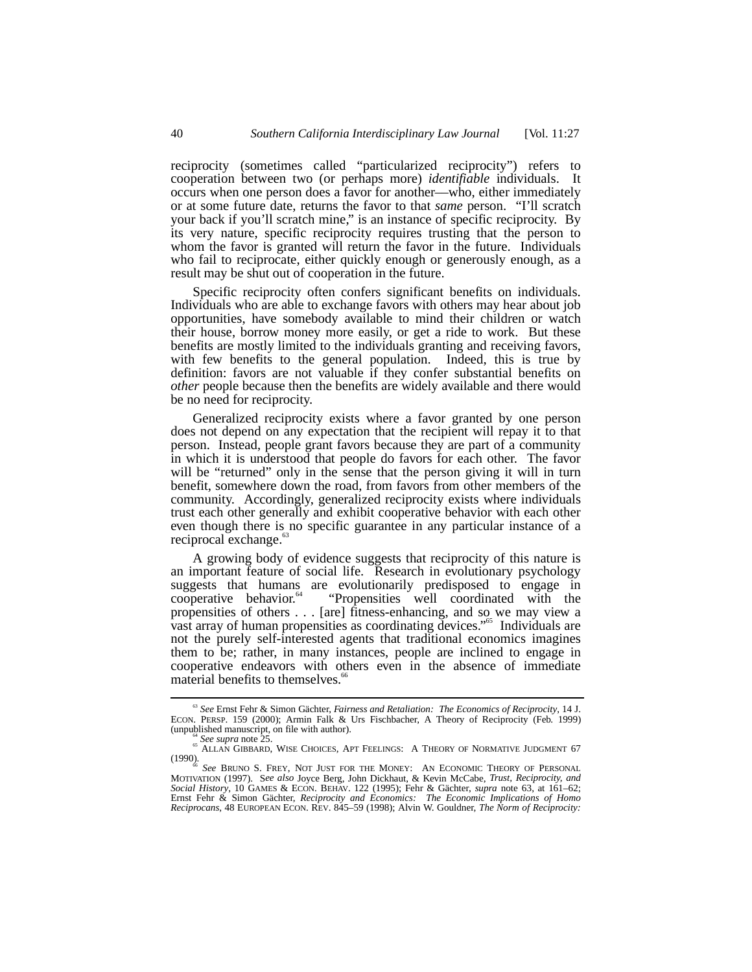reciprocity (sometimes called "particularized reciprocity") refers to cooperation between two (or perhaps more) *identifiable* individuals. It occurs when one person does a favor for another––who, either immediately or at some future date, returns the favor to that *same* person. "I'll scratch your back if you'll scratch mine," is an instance of specific reciprocity. By its very nature, specific reciprocity requires trusting that the person to whom the favor is granted will return the favor in the future. Individuals who fail to reciprocate, either quickly enough or generously enough, as a result may be shut out of cooperation in the future.

Specific reciprocity often confers significant benefits on individuals. Individuals who are able to exchange favors with others may hear about job opportunities, have somebody available to mind their children or watch their house, borrow money more easily, or get a ride to work. But these benefits are mostly limited to the individuals granting and receiving favors, with few benefits to the general population. Indeed, this is true by definition: favors are not valuable if they confer substantial benefits on *other* people because then the benefits are widely available and there would be no need for reciprocity.

Generalized reciprocity exists where a favor granted by one person does not depend on any expectation that the recipient will repay it to that person. Instead, people grant favors because they are part of a community in which it is understood that people do favors for each other. The favor will be "returned" only in the sense that the person giving it will in turn benefit, somewhere down the road, from favors from other members of the community. Accordingly, generalized reciprocity exists where individuals trust each other generally and exhibit cooperative behavior with each other even though there is no specific guarantee in any particular instance of a reciprocal exchange.<sup>63</sup>

A growing body of evidence suggests that reciprocity of this nature is an important feature of social life. Research in evolutionary psychology suggests that humans are evolutionarily predisposed to engage in cooperative behavior.<sup>64</sup> "Propensities well coordinated with the propensities of others . . . [are] fitness-enhancing, and so we may view a vast array of human propensities as coordinating devices." 65 Individuals are not the purely self-interested agents that traditional economics imagines them to be; rather, in many instances, people are inclined to engage in cooperative endeavors with others even in the absence of immediate material benefits to themselves.<sup>6</sup>

 <sup>63</sup> *See* Ernst Fehr & Simon Gächter, *Fairness and Retaliation: The Economics of Reciprocity*, 14 J. ECON. PERSP. 159 (2000); Armin Falk & Urs Fischbacher, A Theory of Reciprocity (Feb. 1999) (unpublished manuscript, on file with author).

<sup>(</sup>unit university on the manuscript).<br>
<sup>64</sup> See supra note 25.<br>
<sup>65</sup> ALLAN GIBBARD, WISE CHOICES, APT FEELINGS: A THEORY OF NORMATIVE JUDGMENT 67

<sup>(1990).</sup> *See BRUNO S. FREY, NOT JUST FOR THE MONEY:* AN ECONOMIC THEORY OF PERSONAL *See BRUNO S. FREY, NOT JUST FOR THE MONEY:* AN *Vorin McCobe Trust Reciprocity, and* MOTIVATION (1997). S*ee also* Joyce Berg, John Dickhaut, & Kevin McCabe, *Trust, Reciprocity, and Social History*, 10 GAMES & ECON. BEHAV. 122 (1995); Fehr & Gächter, *supra* note 63, at 161–62; Ernst Fehr & Simon Gächter, *Reciprocity and Economics: The Economic Implications of Homo Reciprocans*, 48 EUROPEAN ECON. REV. 845–59 (1998); Alvin W. Gouldner, *The Norm of Reciprocity:*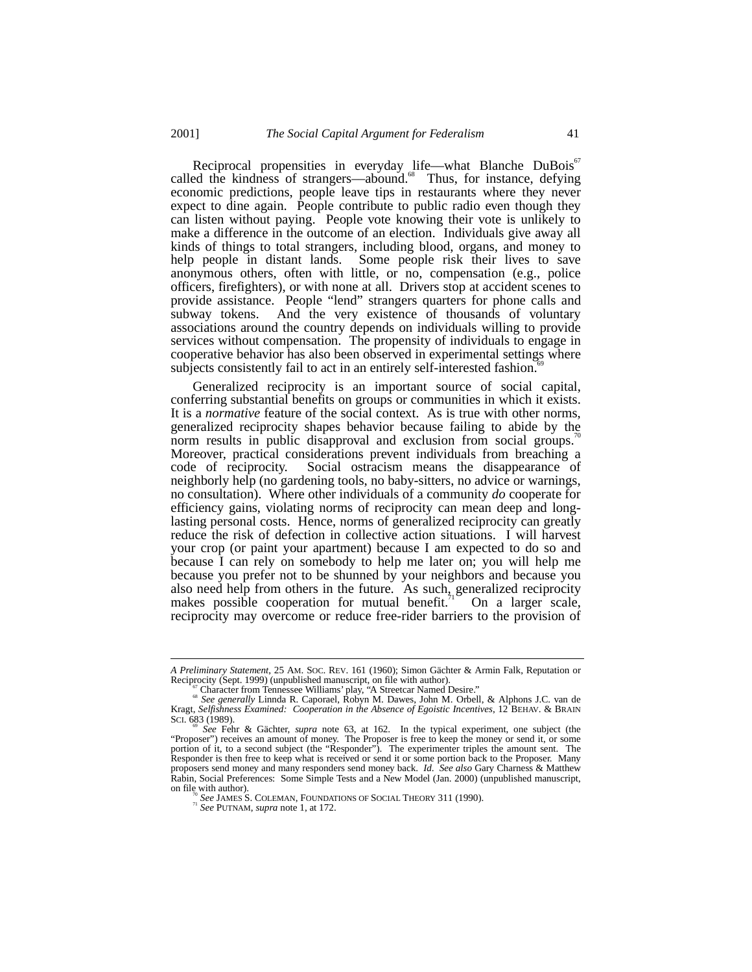Reciprocal propensities in everyday life—what Blanche DuBois<sup>67</sup> called the kindness of strangers—abound.<sup>68</sup> Thus, for instance, defying economic predictions, people leave tips in restaurants where they never expect to dine again. People contribute to public radio even though they can listen without paying. People vote knowing their vote is unlikely to make a difference in the outcome of an election. Individuals give away all kinds of things to total strangers, including blood, organs, and money to help people in distant lands. Some people risk their lives to save anonymous others, often with little, or no, compensation (e.g., police officers, firefighters), or with none at all. Drivers stop at accident scenes to provide assistance. People "lend" strangers quarters for phone calls and subway tokens. And the very existence of thousands of voluntary associations around the country depends on individuals willing to provide services without compensation. The propensity of individuals to engage in cooperative behavior has also been observed in experimental settings where subjects consistently fail to act in an entirely self-interested fashion.

Generalized reciprocity is an important source of social capital, conferring substantial benefits on groups or communities in which it exists. It is a *normative* feature of the social context. As is true with other norms, generalized reciprocity shapes behavior because failing to abide by the norm results in public disapproval and exclusion from social groups.<sup>11</sup> Moreover, practical considerations prevent individuals from breaching a code of reciprocity. Social ostracism means the disappearance of neighborly help (no gardening tools, no baby-sitters, no advice or warnings, no consultation). Where other individuals of a community *do* cooperate for efficiency gains, violating norms of reciprocity can mean deep and longlasting personal costs. Hence, norms of generalized reciprocity can greatly reduce the risk of defection in collective action situations. I will harvest your crop (or paint your apartment) because I am expected to do so and because I can rely on somebody to help me later on; you will help me because you prefer not to be shunned by your neighbors and because you also need help from others in the future. As such, generalized reciprocity makes possible cooperation for mutual benefit.<sup> $71$ </sup> On a larger scale, reciprocity may overcome or reduce free-rider barriers to the provision of

*A Preliminary Statement*, 25 AM. SOC. REV. 161 (1960); Simon Gächter & Armin Falk, Reputation or

Reciprocity (Sept. 1999) (unpublished manuscript, on file with author).<br>
<sup>67</sup> Character from Tennessee Williams' play, "A Streetcar Named Desire."<br>
<sup>68</sup> See generally Linnda R. Caporael, Robyn M. Dawes, John M. Orbell, & A

SCI. 683 (1989).<br><sup>69</sup> See Fehr & Gächter, *supra* note 63, at 162. In the typical experiment, one subject (the "Proposer") receives an amount of money. The Proposer is free to keep the money or send it, or some portion of it, to a second subject (the "Responder"). The experimenter triples the amount sent. The Responder is then free to keep what is received or send it or some portion back to the Proposer. Many proposers send money and many responders send money back. *Id*. *See also* Gary Charness & Matthew Rabin, Social Preferences: Some Simple Tests and a New Model (Jan. 2000) (unpublished manuscript, on file with author).

<sup>&</sup>lt;sup>70</sup> See JAMES S. COLEMAN, FOUNDATIONS OF SOCIAL THEORY 311 (1990). <sup>71</sup> See PUTNAM, *supra* note 1, at 172.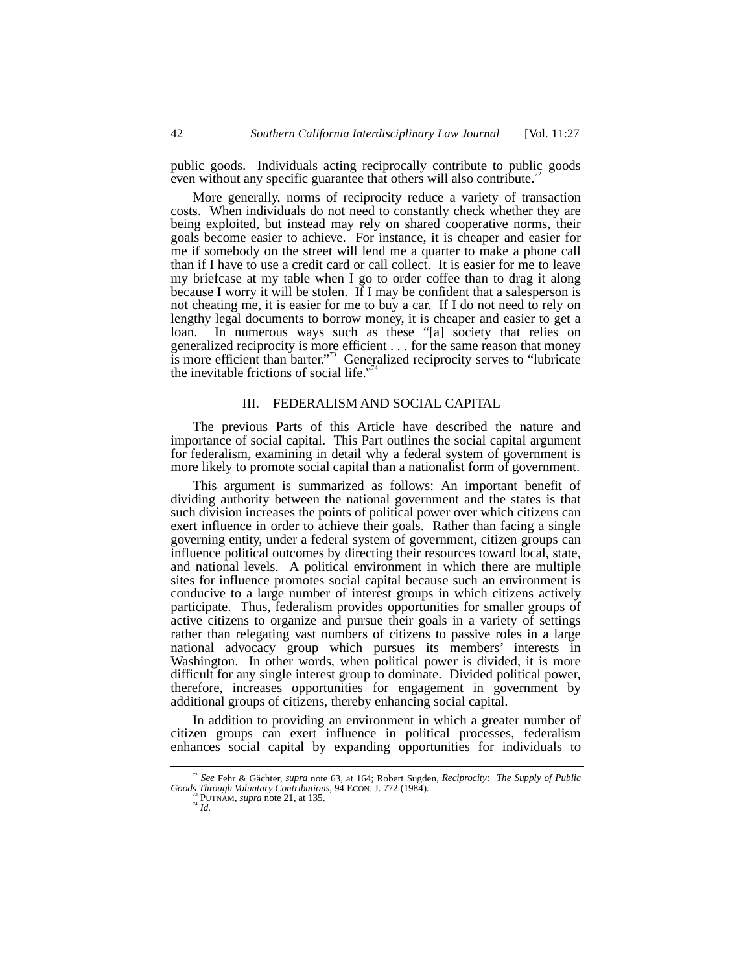public goods. Individuals acting reciprocally contribute to public goods even without any specific guarantee that others will also contribute.

More generally, norms of reciprocity reduce a variety of transaction costs. When individuals do not need to constantly check whether they are being exploited, but instead may rely on shared cooperative norms, their goals become easier to achieve. For instance, it is cheaper and easier for me if somebody on the street will lend me a quarter to make a phone call than if I have to use a credit card or call collect. It is easier for me to leave my briefcase at my table when I go to order coffee than to drag it along because I worry it will be stolen. If I may be confident that a salesperson is not cheating me, it is easier for me to buy a car. If I do not need to rely on lengthy legal documents to borrow money, it is cheaper and easier to get a loan. In numerous ways such as these "[a] society that relies on generalized reciprocity is more efficient . . . for the same reason that money is more efficient than barter." 73 Generalized reciprocity serves to "lubricate the inevitable frictions of social life."<sup>74</sup>

## III. FEDERALISM AND SOCIAL CAPITAL

The previous Parts of this Article have described the nature and importance of social capital. This Part outlines the social capital argument for federalism, examining in detail why a federal system of government is more likely to promote social capital than a nationalist form of government.

This argument is summarized as follows: An important benefit of dividing authority between the national government and the states is that such division increases the points of political power over which citizens can exert influence in order to achieve their goals. Rather than facing a single governing entity, under a federal system of government, citizen groups can influence political outcomes by directing their resources toward local, state, and national levels. A political environment in which there are multiple sites for influence promotes social capital because such an environment is conducive to a large number of interest groups in which citizens actively participate. Thus, federalism provides opportunities for smaller groups of active citizens to organize and pursue their goals in a variety of settings rather than relegating vast numbers of citizens to passive roles in a large national advocacy group which pursues its members' interests in Washington. In other words, when political power is divided, it is more difficult for any single interest group to dominate. Divided political power, therefore, increases opportunities for engagement in government by additional groups of citizens, thereby enhancing social capital.

In addition to providing an environment in which a greater number of citizen groups can exert influence in political processes, federalism enhances social capital by expanding opportunities for individuals to

 <sup>72</sup> *See* Fehr & Gächter, *supra* note 63, at 164; Robert Sugden, *Reciprocity: The Supply of Public Goods Through Voluntary Contributions*, 94 ECON. J. 772 (1984). <sup>73</sup> PUTNAM, *supra* note 21, at 135. *74 Id.*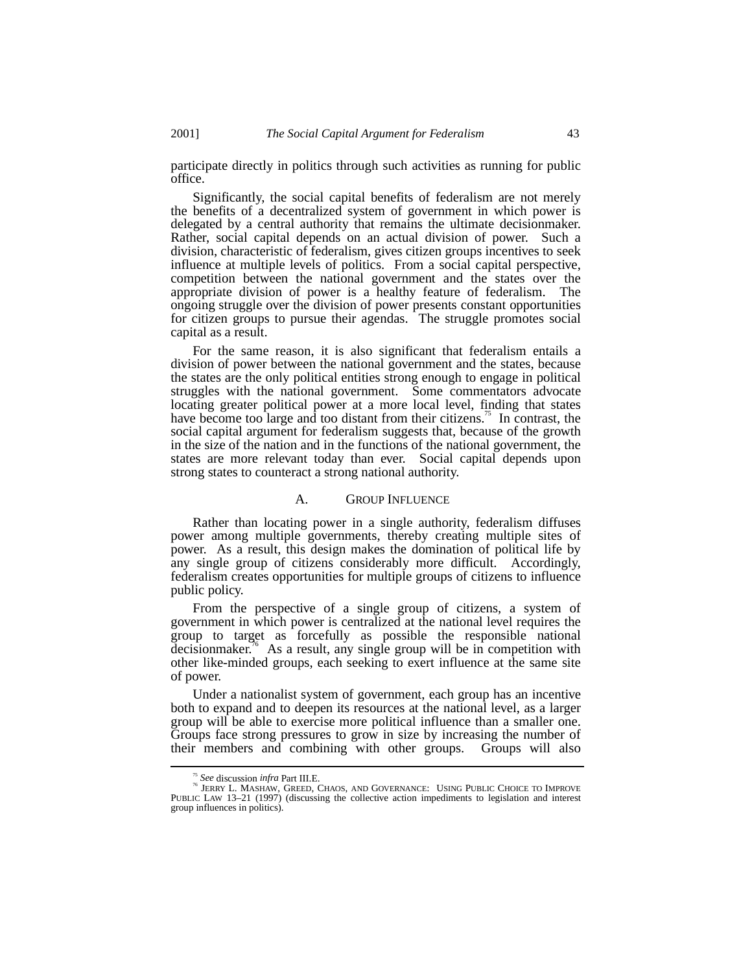participate directly in politics through such activities as running for public office.

Significantly, the social capital benefits of federalism are not merely the benefits of a decentralized system of government in which power is delegated by a central authority that remains the ultimate decisionmaker. Rather, social capital depends on an actual division of power. Such a division, characteristic of federalism, gives citizen groups incentives to seek influence at multiple levels of politics. From a social capital perspective, competition between the national government and the states over the appropriate division of power is a healthy feature of federalism. The ongoing struggle over the division of power presents constant opportunities for citizen groups to pursue their agendas. The struggle promotes social capital as a result.

For the same reason, it is also significant that federalism entails a division of power between the national government and the states, because the states are the only political entities strong enough to engage in political struggles with the national government. Some commentators advocate locating greater political power at a more local level, finding that states have become too large and too distant from their citizens.<sup>75</sup> In contrast, the social capital argument for federalism suggests that, because of the growth in the size of the nation and in the functions of the national government, the states are more relevant today than ever. Social capital depends upon strong states to counteract a strong national authority.

# A. GROUP INFLUENCE

Rather than locating power in a single authority, federalism diffuses power among multiple governments, thereby creating multiple sites of power. As a result, this design makes the domination of political life by any single group of citizens considerably more difficult. Accordingly, federalism creates opportunities for multiple groups of citizens to influence public policy.

From the perspective of a single group of citizens, a system of government in which power is centralized at the national level requires the group to target as forcefully as possible the responsible national decisionmaker.<sup>76</sup> As a result, any single group will be in competition with other like-minded groups, each seeking to exert influence at the same site of power.

Under a nationalist system of government, each group has an incentive both to expand and to deepen its resources at the national level, as a larger group will be able to exercise more political influence than a smaller one. Groups face strong pressures to grow in size by increasing the number of their members and combining with other groups. Groups will also

 $\frac{^{75} \text{} }{^{76} }$  See discussion *infra* Part III.E.<br><sup>76</sup> JERRY L. MASHAW, GREED, CHAOS, AND GOVERNANCE: USING PUBLIC CHOICE TO IMPROVE<br>PUBLIC LAW 13–21 (1997) (discussing the collective action impediments to legislati group influences in politics).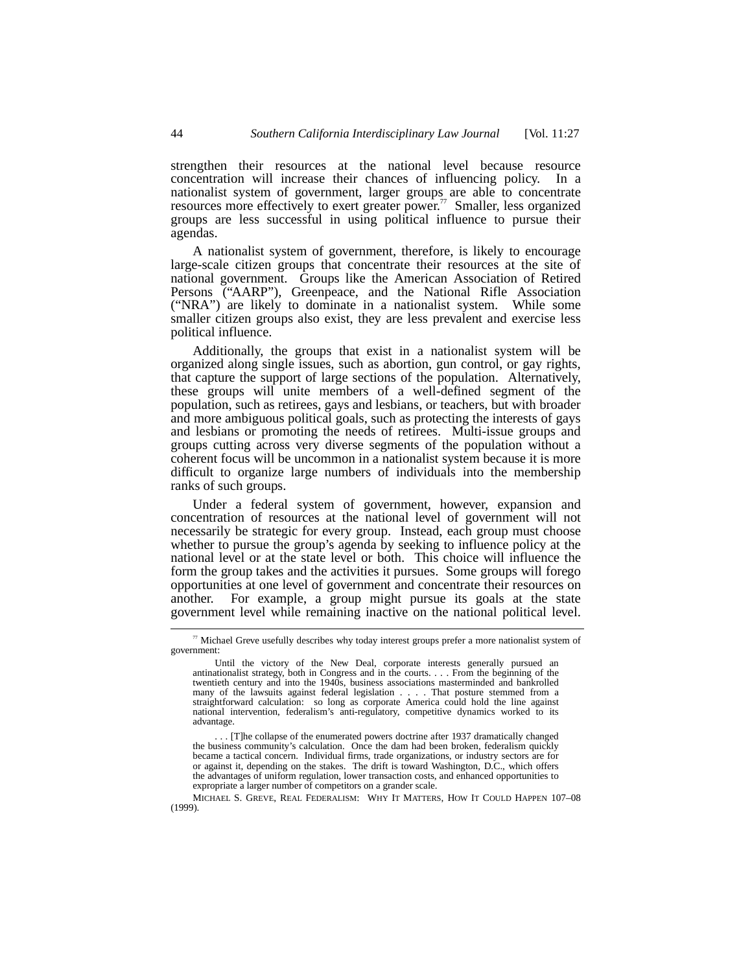strengthen their resources at the national level because resource concentration will increase their chances of influencing policy. In a nationalist system of government, larger groups are able to concentrate resources more effectively to exert greater power.<sup>77</sup> Smaller, less organized groups are less successful in using political influence to pursue their agendas.

A nationalist system of government, therefore, is likely to encourage large-scale citizen groups that concentrate their resources at the site of national government. Groups like the American Association of Retired Persons ("AARP"), Greenpeace, and the National Rifle Association ("NRA") are likely to dominate in a nationalist system. While some smaller citizen groups also exist, they are less prevalent and exercise less political influence.

Additionally, the groups that exist in a nationalist system will be organized along single issues, such as abortion, gun control, or gay rights, that capture the support of large sections of the population. Alternatively, these groups will unite members of a well-defined segment of the population, such as retirees, gays and lesbians, or teachers, but with broader and more ambiguous political goals, such as protecting the interests of gays and lesbians or promoting the needs of retirees. Multi-issue groups and groups cutting across very diverse segments of the population without a coherent focus will be uncommon in a nationalist system because it is more difficult to organize large numbers of individuals into the membership ranks of such groups.

Under a federal system of government, however, expansion and concentration of resources at the national level of government will not necessarily be strategic for every group. Instead, each group must choose whether to pursue the group's agenda by seeking to influence policy at the national level or at the state level or both. This choice will influence the form the group takes and the activities it pursues. Some groups will forego opportunities at one level of government and concentrate their resources on another. For example, a group might pursue its goals at the state government level while remaining inactive on the national political level.

<sup>&</sup>lt;sup>77</sup> Michael Greve usefully describes why today interest groups prefer a more nationalist system of government:

Until the victory of the New Deal, corporate interests generally pursued an antinationalist strategy, both in Congress and in the courts. . . . From the beginning of the twentieth century and into the 1940s, business associations masterminded and bankrolled many of the lawsuits against federal legislation . . . . That posture stemmed from a straightforward calculation: so long as corporate America could hold the line against national intervention, federalism's anti-regulatory, competitive dynamics worked to its advantage.

<sup>. . . [</sup>T]he collapse of the enumerated powers doctrine after 1937 dramatically changed the business community's calculation. Once the dam had been broken, federalism quickly became a tactical concern. Individual firms, trade organizations, or industry sectors are for or against it, depending on the stakes. The drift is toward Washington, D.C., which offers the advantages of uniform regulation, lower transaction costs, and enhanced opportunities to expropriate a larger number of competitors on a grander scale.

MICHAEL S. GREVE, REAL FEDERALISM: WHY IT MATTERS, HOW IT COULD HAPPEN 107–08 (1999).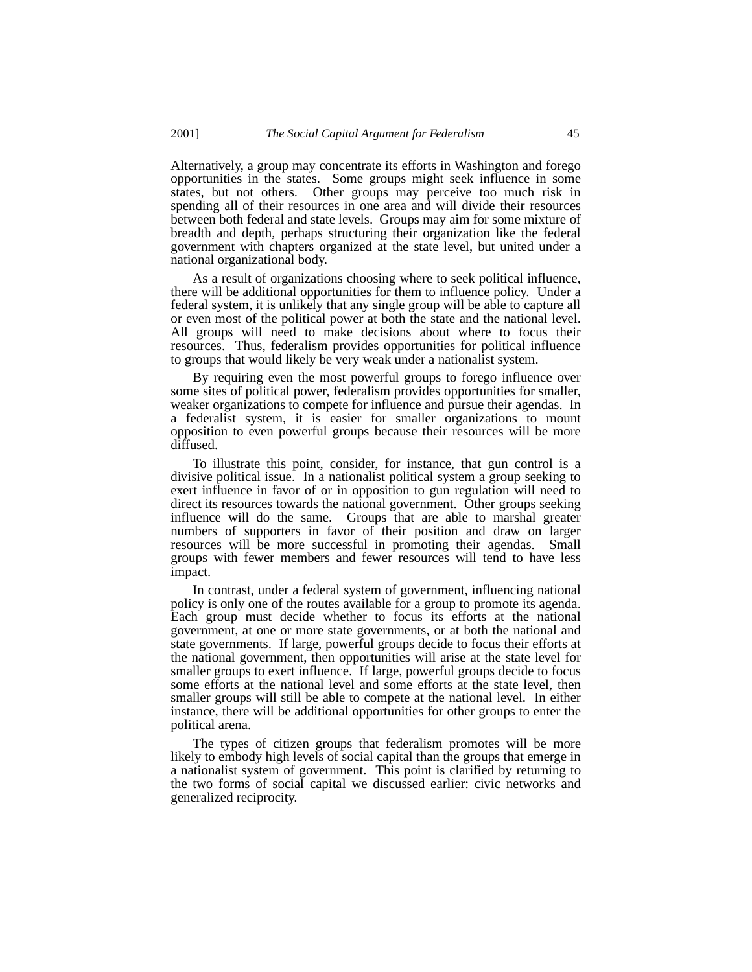Alternatively, a group may concentrate its efforts in Washington and forego opportunities in the states. Some groups might seek influence in some states, but not others. Other groups may perceive too much risk in spending all of their resources in one area and will divide their resources between both federal and state levels. Groups may aim for some mixture of breadth and depth, perhaps structuring their organization like the federal government with chapters organized at the state level, but united under a national organizational body.

As a result of organizations choosing where to seek political influence, there will be additional opportunities for them to influence policy. Under a federal system, it is unlikely that any single group will be able to capture all or even most of the political power at both the state and the national level. All groups will need to make decisions about where to focus their resources. Thus, federalism provides opportunities for political influence to groups that would likely be very weak under a nationalist system.

By requiring even the most powerful groups to forego influence over some sites of political power, federalism provides opportunities for smaller, weaker organizations to compete for influence and pursue their agendas. In a federalist system, it is easier for smaller organizations to mount opposition to even powerful groups because their resources will be more diffused.

To illustrate this point, consider, for instance, that gun control is a divisive political issue. In a nationalist political system a group seeking to exert influence in favor of or in opposition to gun regulation will need to direct its resources towards the national government. Other groups seeking influence will do the same. Groups that are able to marshal greater numbers of supporters in favor of their position and draw on larger resources will be more successful in promoting their agendas. Small groups with fewer members and fewer resources will tend to have less impact.

In contrast, under a federal system of government, influencing national policy is only one of the routes available for a group to promote its agenda. Each group must decide whether to focus its efforts at the national government, at one or more state governments, or at both the national and state governments. If large, powerful groups decide to focus their efforts at the national government, then opportunities will arise at the state level for smaller groups to exert influence. If large, powerful groups decide to focus some efforts at the national level and some efforts at the state level, then smaller groups will still be able to compete at the national level. In either instance, there will be additional opportunities for other groups to enter the political arena.

The types of citizen groups that federalism promotes will be more likely to embody high levels of social capital than the groups that emerge in a nationalist system of government. This point is clarified by returning to the two forms of social capital we discussed earlier: civic networks and generalized reciprocity.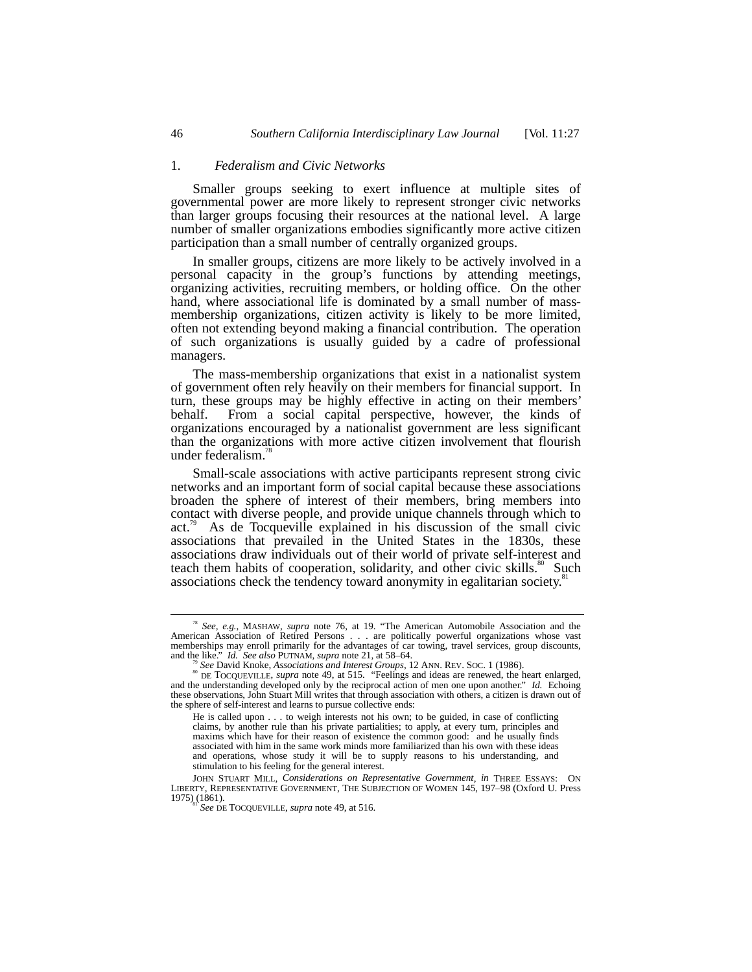#### 1. *Federalism and Civic Networks*

Smaller groups seeking to exert influence at multiple sites of governmental power are more likely to represent stronger civic networks than larger groups focusing their resources at the national level. A large number of smaller organizations embodies significantly more active citizen participation than a small number of centrally organized groups.

In smaller groups, citizens are more likely to be actively involved in a personal capacity in the group's functions by attending meetings, organizing activities, recruiting members, or holding office. On the other hand, where associational life is dominated by a small number of massmembership organizations, citizen activity is likely to be more limited, often not extending beyond making a financial contribution. The operation of such organizations is usually guided by a cadre of professional managers.

The mass-membership organizations that exist in a nationalist system of government often rely heavily on their members for financial support. In turn, these groups may be highly effective in acting on their members' behalf. From a social capital perspective, however, the kinds of organizations encouraged by a nationalist government are less significant than the organizations with more active citizen involvement that flourish under federalism. $\frac{7}{3}$ 

Small-scale associations with active participants represent strong civic networks and an important form of social capital because these associations broaden the sphere of interest of their members, bring members into contact with diverse people, and provide unique channels through which to act.<sup>79</sup> As de Tocqueville explained in his discussion of the small civic As de Tocqueville explained in his discussion of the small civic associations that prevailed in the United States in the 1830s, these associations draw individuals out of their world of private self-interest and teach them habits of cooperation, solidarity, and other civic skills.<sup>80</sup> Such associations check the tendency toward anonymity in egalitarian society.<sup>8</sup>

<sup>&</sup>lt;sup>78</sup> *See, e.g.*, MASHAW, *supra* note 76, at 19. "The American Automobile Association and the American Association of Retired Persons . . . are politically powerful organizations whose vast memberships may enroll primarily for the advantages of car towing, travel services, group discounts, and the like." Id. See also PUTNAM, supra note 21, at 58–64.<br>
<sup>79</sup> See David Knoke, Associations and Interest Groups, 12 ANN. REV. Soc. 1 (1986).<br>
<sup>89</sup> DE TOCQUEVILLE, *supra* note 49, at 515. "Feelings and ideas are rene

and the understanding developed only by the reciprocal action of men one upon another." *Id.* Echoing these observations, John Stuart Mill writes that through association with others, a citizen is drawn out of the sphere of self-interest and learns to pursue collective ends:

He is called upon . . . to weigh interests not his own; to be guided, in case of conflicting claims, by another rule than his private partialities; to apply, at every turn, principles and maxims which have for their reason of existence the common good: and he usually finds associated with him in the same work minds more familiarized than his own with these ideas and operations, whose study it will be to supply reasons to his understanding, and stimulation to his feeling for the general interest.

JOHN STUART MILL, *Considerations on Representative Government*, *in* THREE ESSAYS: ON LIBERTY, REPRESENTATIVE GOVERNMENT, THE SUBJECTION OF WOMEN 145, 197–98 (Oxford U. Press 1975) (1861).<br><sup>81</sup> *See DE TOCQUEVILLE, supra* note 49, at 516.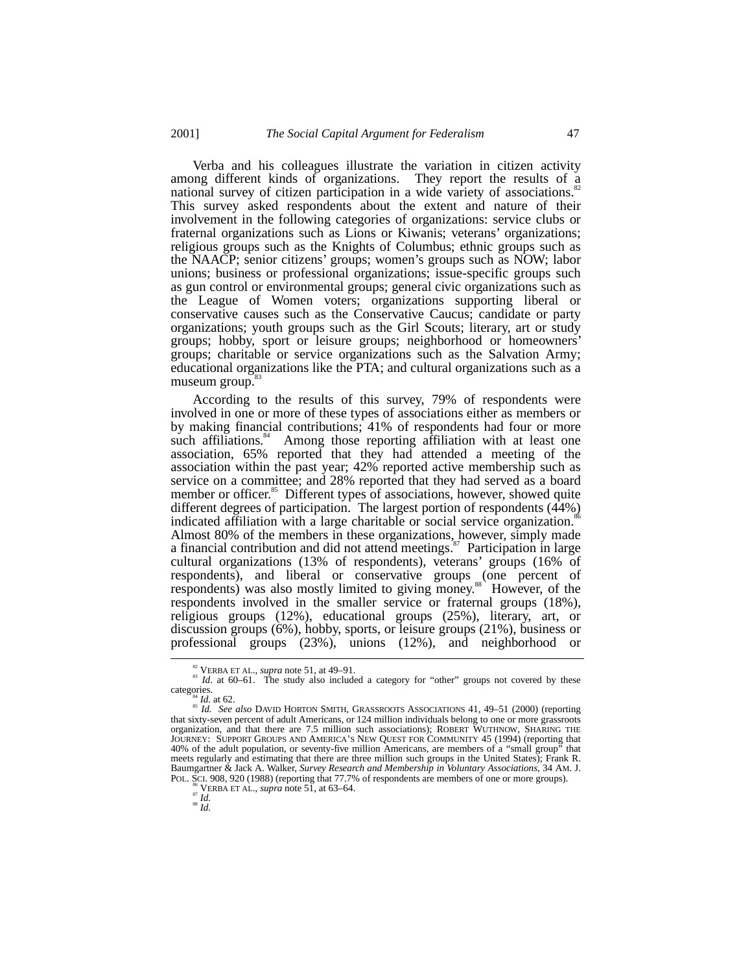Verba and his colleagues illustrate the variation in citizen activity among different kinds of organizations. They report the results of a national survey of citizen participation in a wide variety of associations. This survey asked respondents about the extent and nature of their involvement in the following categories of organizations: service clubs or fraternal organizations such as Lions or Kiwanis; veterans' organizations; religious groups such as the Knights of Columbus; ethnic groups such as the NAACP; senior citizens' groups; women's groups such as NOW; labor unions; business or professional organizations; issue-specific groups such as gun control or environmental groups; general civic organizations such as the League of Women voters; organizations supporting liberal or conservative causes such as the Conservative Caucus; candidate or party organizations; youth groups such as the Girl Scouts; literary, art or study groups; hobby, sport or leisure groups; neighborhood or homeowners' groups; charitable or service organizations such as the Salvation Army; educational organizations like the PTA; and cultural organizations such as a museum group.<sup>8</sup>

According to the results of this survey, 79% of respondents were involved in one or more of these types of associations either as members or by making financial contributions; 41% of respondents had four or more such affiliations.<sup>84</sup> Among those reporting affiliation with at least one association, 65% reported that they had attended a meeting of the association within the past year; 42% reported active membership such as service on a committee; and 28% reported that they had served as a board member or officer.<sup>85</sup> Different types of associations, however, showed quite different degrees of participation. The largest portion of respondents (44%) indicated affiliation with a large charitable or social service organization.<sup>86</sup> Almost 80% of the members in these organizations, however, simply made a financial contribution and did not attend meetings.<sup>87</sup> Participation in large cultural organizations (13% of respondents), veterans' groups (16% of respondents), and liberal or conservative groups (one percent of respondents) was also mostly limited to giving money.<sup>88</sup> However, of the respondents involved in the smaller service or fraternal groups (18%), religious groups (12%), educational groups (25%), literary, art, or discussion groups (6%), hobby, sports, or leisure groups (21%), business or professional groups (23%), unions (12%), and neighborhood or

<sup>&</sup>lt;sup>82</sup> VERBA ET AL., *supra* note 51, at 49–91.<br><sup>83</sup> *Id*. at 60–61. The study also included a category for "other" groups not covered by these categories.

categories. <sup>84</sup> *Id.* at 62. <sup>85</sup> *Id. See also* DAVID HORTON SMITH, GRASSROOTS ASSOCIATIONS 41, 49–51 (2000) (reporting that sixty-seven percent of adult Americans, or 124 million individuals belong to one or more grassroots organization, and that there are 7.5 million such associations); ROBERT WUTHNOW, SHARING THE JOURNEY: SUPPORT GROUPS AND AMERICA'S NEW QUEST FOR COMMUNITY 45 (1994) (reporting that 40% of the adult population, or seventy-five million Americans, are members of a "small group" that meets regularly and estimating that there are three million such groups in the United States); Frank R. Baumgartner & Jack A. Walker, *Survey Research and Membership in Voluntary Associations*, 34 AM. J. POL. SCI. 908, 920 (1988) (reporting that 77.7% of respondents are members of one or more groups).<br>POL. SCI. 908, 920 (1988) (reporting that 77.7% of respondents are members of one or more groups).<br><sup>87</sup> *Id.* 88 *Id*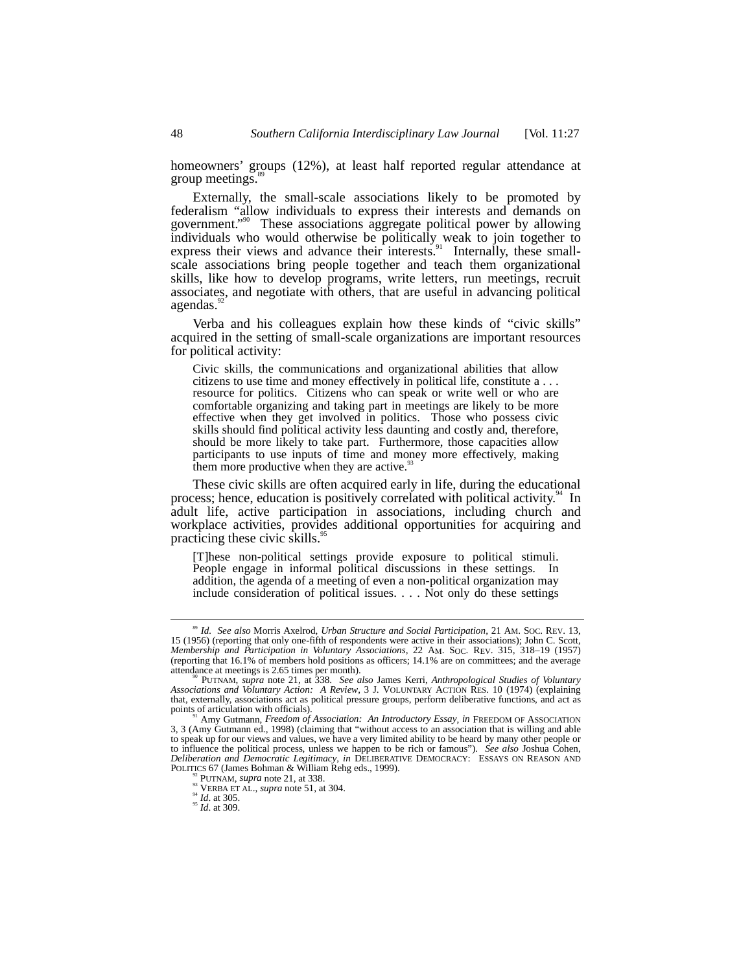homeowners' groups (12%), at least half reported regular attendance at group meetings.

Externally, the small-scale associations likely to be promoted by federalism "allow individuals to express their interests and demands on government." 90 These associations aggregate political power by allowing individuals who would otherwise be politically weak to join together to express their views and advance their interests.<sup>91</sup> Internally, these smallscale associations bring people together and teach them organizational skills, like how to develop programs, write letters, run meetings, recruit associates, and negotiate with others, that are useful in advancing political agendas.

Verba and his colleagues explain how these kinds of "civic skills" acquired in the setting of small-scale organizations are important resources for political activity:

Civic skills, the communications and organizational abilities that allow citizens to use time and money effectively in political life, constitute a . . . resource for politics. Citizens who can speak or write well or who are comfortable organizing and taking part in meetings are likely to be more effective when they get involved in politics. Those who possess civic skills should find political activity less daunting and costly and, therefore, should be more likely to take part. Furthermore, those capacities allow participants to use inputs of time and money more effectively, making them more productive when they are active. $\frac{9}{2}$ 

These civic skills are often acquired early in life, during the educational process; hence, education is positively correlated with political activity.<sup>94</sup> In adult life, active participation in associations, including church and workplace activities, provides additional opportunities for acquiring and practicing these civic skills.<sup>95</sup>

[T]hese non-political settings provide exposure to political stimuli. People engage in informal political discussions in these settings. In addition, the agenda of a meeting of even a non-political organization may include consideration of political issues. . . . Not only do these settings

 <sup>89</sup> *Id. See also* Morris Axelrod, *Urban Structure and Social Participation*, 21 AM. SOC. REV. 13, 15 (1956) (reporting that only one-fifth of respondents were active in their associations); John C. Scott, *Membership and Participation in Voluntary Associations*, 22 AM. SOC. REV. 315, 318–19 (1957) (reporting that 16.1% of members hold positions as officers; 14.1% are on committees; and the average attendance at meetings is 2.65 times per month). 90 PUTNAM, *supra* note 21, at 338. *See also* James Kerri, *Anthropological Studies of Voluntary*

*Associations and Voluntary Action: A Review*, 3 J. VOLUNTARY ACTION RES. 10 (1974) (explaining that, externally, associations act as political pressure groups, perform deliberative functions, and act as

Amy Gutmann, *Freedom of Association: An Introductory Essay*, *in* FREEDOM OF ASSOCIATION 3, 3 (Amy Gutmann ed., 1998) (claiming that "without access to an association that is willing and able to speak up for our views and values, we have a very limited ability to be heard by many other people or to influence the political process, unless we happen to be rich or famous"). *See also* Joshua Cohen, *Deliberation and Democratic Legitimacy*, *in* DELIBERATIVE DEMOCRACY: ESSAYS ON REASON AND POLITICS 67 (James Bohman & William Rehg eds., 1999).

<sup>&</sup>lt;sup>92</sup> PUTNAM, *supra* note 21, at 338.<br><sup>94</sup> VERBA ET AL., *supra* note 51, at 304. 94 *Id.* at 309. 95 *Id.* at 305.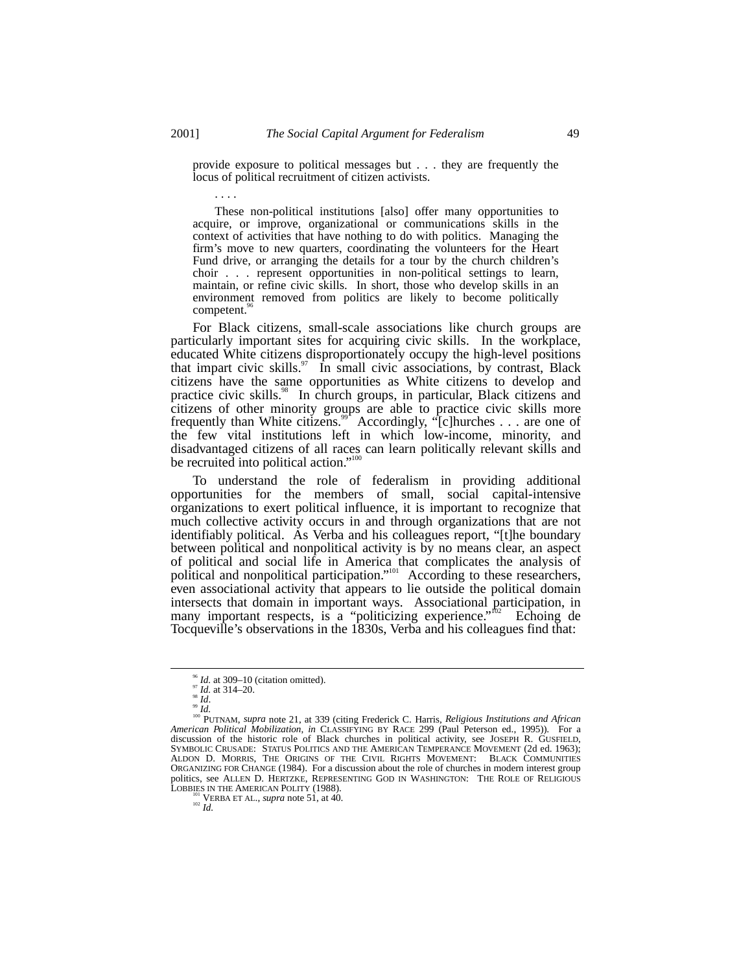provide exposure to political messages but . . . they are frequently the locus of political recruitment of citizen activists.

. . . .

These non-political institutions [also] offer many opportunities to acquire, or improve, organizational or communications skills in the context of activities that have nothing to do with politics. Managing the firm's move to new quarters, coordinating the volunteers for the Heart Fund drive, or arranging the details for a tour by the church children's choir . . . represent opportunities in non-political settings to learn, maintain, or refine civic skills. In short, those who develop skills in an environment removed from politics are likely to become politically competent.<sup>9</sup>

For Black citizens, small-scale associations like church groups are particularly important sites for acquiring civic skills. In the workplace, educated White citizens disproportionately occupy the high-level positions that impart civic skills.<sup>97</sup> In small civic associations, by contrast, Black citizens have the same opportunities as White citizens to develop and practice civic skills.<sup>98</sup> In church groups, in particular, Black citizens and citizens of other minority groups are able to practice civic skills more frequently than White citizens.<sup>99</sup> Accordingly, "[c]hurches  $\dots$  are one of the few vital institutions left in which low-income, minority, and disadvantaged citizens of all races can learn politically relevant skills and be recruited into political action."<sup>100</sup>

To understand the role of federalism in providing additional opportunities for the members of small, social capital-intensive organizations to exert political influence, it is important to recognize that much collective activity occurs in and through organizations that are not identifiably political. As Verba and his colleagues report, "[t]he boundary between political and nonpolitical activity is by no means clear, an aspect of political and social life in America that complicates the analysis of political and nonpolitical participation."<sup>101</sup> According to these researchers, even associational activity that appears to lie outside the political domain intersects that domain in important ways. Associational participation, in many important respects, is a "politicizing experience."<sup>th2</sup> Echoing de Tocqueville's observations in the 1830s, Verba and his colleagues find that:

<sup>&</sup>lt;sup>96</sup> *Id.* at 309–10 (citation omitted).<br><sup>97</sup> *Id.*<br><sup>98</sup> *Id.* 100. 99 *Id.* 99 *Id.* 100 PUTNAM, *supra* note 21, at 339 (citing Frederick C. Harris, *Religious Institutions and African American Political Mobilization*, *in* CLASSIFYING BY RACE 299 (Paul Peterson ed., 1995)). For a discussion of the historic role of Black churches in political activity, see JOSEPH R. GUSFIELD, SYMBOLIC CRUSADE: STATUS POLITICS AND THE AMERICAN TEMPERANCE MOVEMENT (2d ed. 1963); ALDON D. MORRIS, THE ORIGINS OF THE CIVIL RIGHTS MOVEMENT: BLACK COMMUNITIES ORGANIZING FOR CHANGE (1984). For a discussion about the role of churches in modern interest group politics, see ALLEN D. HERTZKE, REPRESENTING GOD IN WASHINGTON: THE ROLE OF RELIGIOUS LOBBIES IN THE AMERICAN POLITY (1988).<br><sup>101</sup> VERBA ET AL., *supra* note 51, at 40.<br><sup>102</sup> *Id.*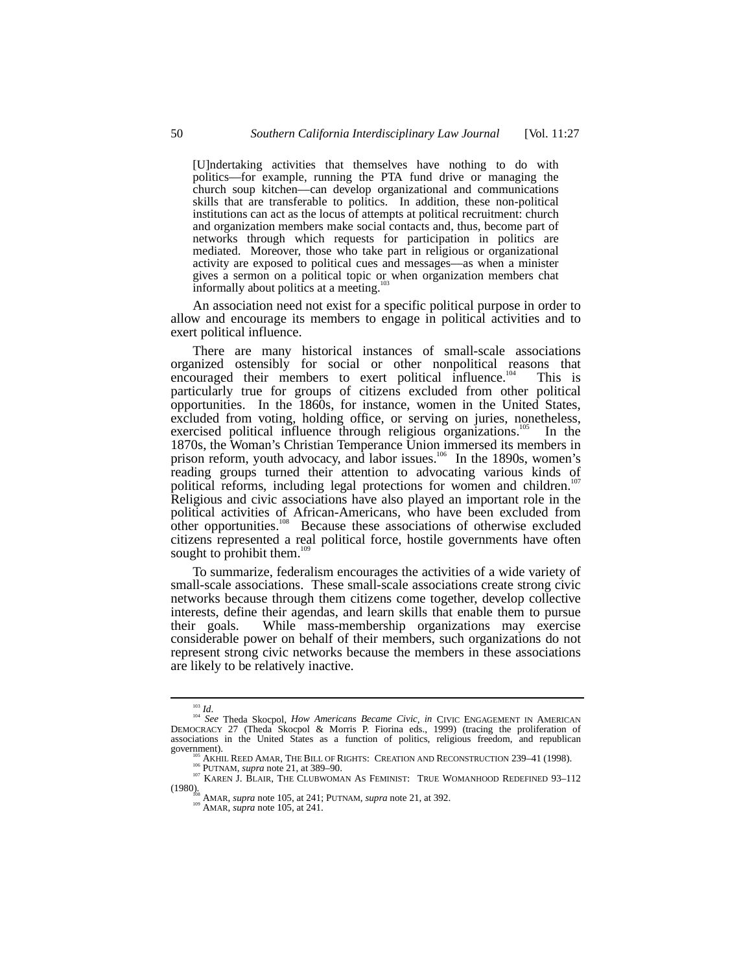[U]ndertaking activities that themselves have nothing to do with politics—for example, running the PTA fund drive or managing the church soup kitchen––can develop organizational and communications skills that are transferable to politics. In addition, these non-political institutions can act as the locus of attempts at political recruitment: church and organization members make social contacts and, thus, become part of networks through which requests for participation in politics are mediated. Moreover, those who take part in religious or organizational activity are exposed to political cues and messages––as when a minister gives a sermon on a political topic or when organization members chat informally about politics at a meeting.

An association need not exist for a specific political purpose in order to allow and encourage its members to engage in political activities and to exert political influence.

There are many historical instances of small-scale associations organized ostensibly for social or other nonpolitical reasons that encouraged their members to exert political influence.<sup>104</sup> This is particularly true for groups of citizens excluded from other political opportunities. In the 1860s, for instance, women in the United States, excluded from voting, holding office, or serving on juries, nonetheless, exercised political influence through religious organizations.<sup>105</sup> In the 1870s, the Woman's Christian Temperance Union immersed its members in prison reform, youth advocacy, and labor issues.<sup>106</sup> In the 1890s, women's reading groups turned their attention to advocating various kinds of political reforms, including legal protections for women and children.<sup>107</sup> Religious and civic associations have also played an important role in the political activities of African-Americans, who have been excluded from other opportunities.<sup>108</sup> Because these associations of otherwise excluded citizens represented a real political force, hostile governments have often sought to prohibit them. $108$ 

To summarize, federalism encourages the activities of a wide variety of small-scale associations. These small-scale associations create strong civic networks because through them citizens come together, develop collective interests, define their agendas, and learn skills that enable them to pursue their goals. While mass-membership organizations may exercise While mass-membership organizations may exercise considerable power on behalf of their members, such organizations do not represent strong civic networks because the members in these associations are likely to be relatively inactive.

<sup>103</sup> *Id*. <sup>104</sup> *See* Theda Skocpol, *How Americans Became Civic*, *in* CIVIC ENGAGEMENT IN AMERICAN DEMOCRACY 27 (Theda Skocpol & Morris P. Fiorina eds., 1999) (tracing the proliferation of associations in the United States as a function of politics, religious freedom, and republican government).

<sup>&</sup>lt;sup>105</sup> AKHIL REED AMAR, THE BILL OF RIGHTS: CREATION AND RECONSTRUCTION 239–41 (1998).<br><sup>106</sup> PUTNAM, *supra* note 21, at 389–90. 107 KAREN J. BLAIR, THE CLUBWOMAN AS FEMINIST: TRUE WOMANHOOD REDEFINED 93–112 (1980). 108 AMAR, *supra* note 105, at 241; PUTNAM, *supra* note 21, at 392. 109 AMAR, *supra* note 105, at 241.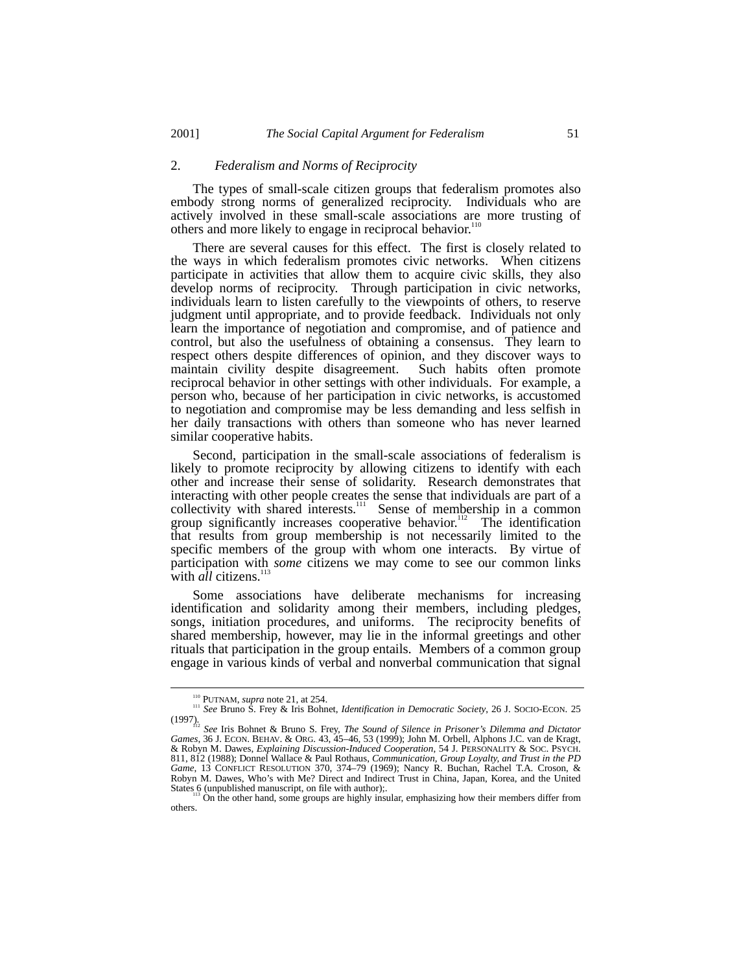#### 2. *Federalism and Norms of Reciprocity*

The types of small-scale citizen groups that federalism promotes also embody strong norms of generalized reciprocity. Individuals who are actively involved in these small-scale associations are more trusting of others and more likely to engage in reciprocal behavior.<sup>110</sup>

There are several causes for this effect. The first is closely related to the ways in which federalism promotes civic networks. When citizens participate in activities that allow them to acquire civic skills, they also develop norms of reciprocity. Through participation in civic networks, individuals learn to listen carefully to the viewpoints of others, to reserve judgment until appropriate, and to provide feedback. Individuals not only learn the importance of negotiation and compromise, and of patience and control, but also the usefulness of obtaining a consensus. They learn to respect others despite differences of opinion, and they discover ways to maintain civility despite disagreement. Such habits often promote reciprocal behavior in other settings with other individuals. For example, a person who, because of her participation in civic networks, is accustomed to negotiation and compromise may be less demanding and less selfish in her daily transactions with others than someone who has never learned similar cooperative habits.

Second, participation in the small-scale associations of federalism is likely to promote reciprocity by allowing citizens to identify with each other and increase their sense of solidarity. Research demonstrates that interacting with other people creates the sense that individuals are part of a collectivity with shared interests.<sup>111</sup> Sense of membership in a common group significantly increases cooperative behavior.<sup>112</sup> The identification that results from group membership is not necessarily limited to the specific members of the group with whom one interacts. By virtue of participation with *some* citizens we may come to see our common links with *all* citizens.<sup>113</sup>

Some associations have deliberate mechanisms for increasing identification and solidarity among their members, including pledges, songs, initiation procedures, and uniforms. The reciprocity benefits of shared membership, however, may lie in the informal greetings and other rituals that participation in the group entails. Members of a common group engage in various kinds of verbal and nonverbal communication that signal

<sup>&</sup>lt;sup>110</sup> PUTNAM, *supra* note 21, at 254.<br><sup>111</sup> *See* Bruno S. Frey & Iris Bohnet, *Identification in Democratic Society*, 26 J. SOCIO-ECON. 25

<sup>(1997).</sup> <sup>112</sup> *See* Iris Bohnet & Bruno S. Frey, *The Sound of Silence in Prisoner's Dilemma and Dictator Games*, 36 J. ECON. BEHAV. & ORG. 43, 45–46, 53 (1999); John M. Orbell, Alphons J.C. van de Kragt, & Robyn M. Dawes, *Explaining Discussion-Induced Cooperation*, 54 J. PERSONALITY & SOC. PSYCH. 811, 812 (1988); Donnel Wallace & Paul Rothaus, *Communication, Group Loyalty, and Trust in the PD Game*, 13 CONFLICT RESOLUTION 370, 374–79 (1969); Nancy R. Buchan, Rachel T.A. Croson, & Robyn M. Dawes, Who's with Me? Direct and Indirect Trust in China, Japan, Korea, and the United States 6 (unpublished manuscript, on file with author);.<br>
<sup>113</sup> On the other hand, some groups are highly insular, emphasizing how their members differ from<br>
<sup>113</sup> On the other hand, some groups are highly insular, emphas

others.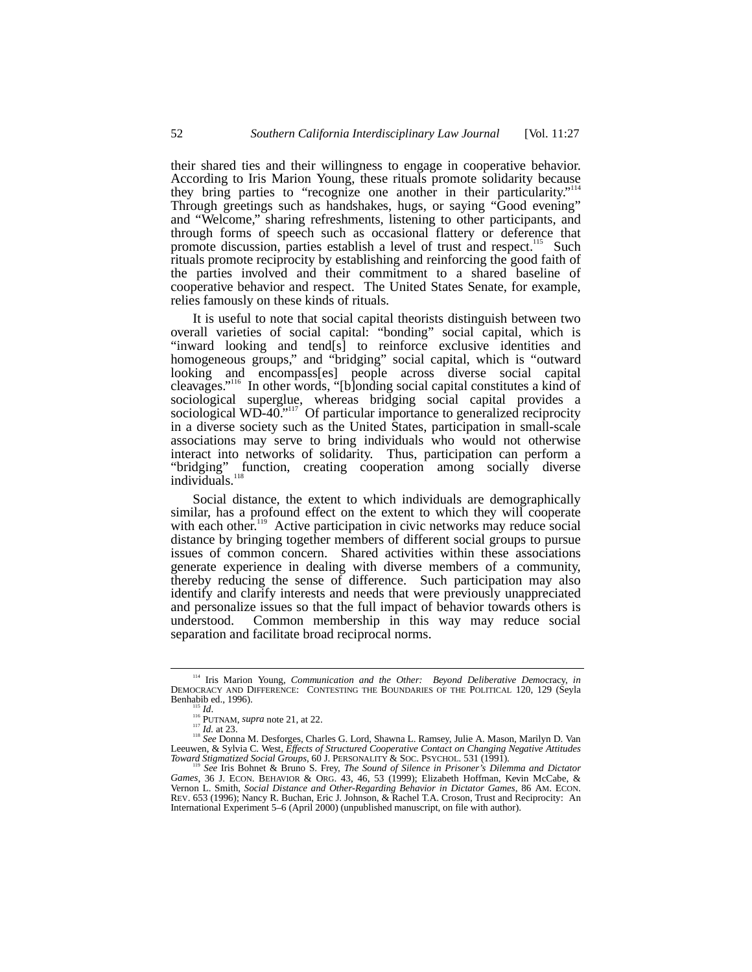their shared ties and their willingness to engage in cooperative behavior. According to Iris Marion Young, these rituals promote solidarity because they bring parties to "recognize one another in their particularity."<sup>114</sup> Through greetings such as handshakes, hugs, or saying "Good evening" and "Welcome," sharing refreshments, listening to other participants, and through forms of speech such as occasional flattery or deference that promote discussion, parties establish a level of trust and respect.<sup>115</sup> Such rituals promote reciprocity by establishing and reinforcing the good faith of the parties involved and their commitment to a shared baseline of cooperative behavior and respect. The United States Senate, for example, relies famously on these kinds of rituals.

It is useful to note that social capital theorists distinguish between two overall varieties of social capital: "bonding" social capital, which is "inward looking and tend[s] to reinforce exclusive identities and homogeneous groups," and "bridging" social capital, which is "outward looking and encompass[es] people across diverse social capital cleavages." 116 In other words, "[b]onding social capital constitutes a kind of sociological superglue, whereas bridging social capital provides a sociological WD-40."<sup>117</sup> Of particular importance to generalized reciprocity in a diverse society such as the United States, participation in small-scale associations may serve to bring individuals who would not otherwise interact into networks of solidarity. Thus, participation can perform a "bridging" function, creating cooperation among socially diverse individuals. $^{11}$ 

Social distance, the extent to which individuals are demographically similar, has a profound effect on the extent to which they will cooperate with each other.<sup>119</sup> Active participation in civic networks may reduce social distance by bringing together members of different social groups to pursue issues of common concern. Shared activities within these associations generate experience in dealing with diverse members of a community, thereby reducing the sense of difference. Such participation may also identify and clarify interests and needs that were previously unappreciated and personalize issues so that the full impact of behavior towards others is understood. Common membership in this way may reduce social separation and facilitate broad reciprocal norms.

 <sup>114</sup> Iris Marion Young, *Communication and the Other: Beyond Deliberative Demo*cracy, *in* DEMOCRACY AND DIFFERENCE: CONTESTING THE BOUNDARIES OF THE POLITICAL 120, 129 (Seyla Benhabib ed., 1996). Benhabib ed., 1996).<br><sup>115</sup> *Id.* 116<br><sup>116</sup> PUTNAM, *supra* note 21, at 22.<br><sup>118</sup> *Id.* at 23. <sup>118</sup> *See* Donna M. Desforges, Charles G. Lord, Shawna L. Ramsey, Julie A. Mason, Marilyn D. Van

Leeuwen, & Sylvia C. West, *Effects of Structured Cooperative Contact on Changing Negative Attitudes Toward Stigmatized Social Groups*, 60 J. PERSONALITY & SOC. PSYCHOL. 531 (1991).<br><sup>119</sup> *See* Iris Bohnet & Bruno S. Frey, *The Sound of Silence in Prisoner's Dilemma and Dictator* 

*Games*, 36 J. ECON. BEHAVIOR & ORG. 43, 46, 53 (1999); Elizabeth Hoffman, Kevin McCabe, & Vernon L. Smith, *Social Distance and Other-Regarding Behavior in Dictator Games*, 86 AM. ECON. REV. 653 (1996); Nancy R. Buchan, Eric J. Johnson, & Rachel T.A. Croson, Trust and Reciprocity: An International Experiment 5–6 (April 2000) (unpublished manuscript, on file with author).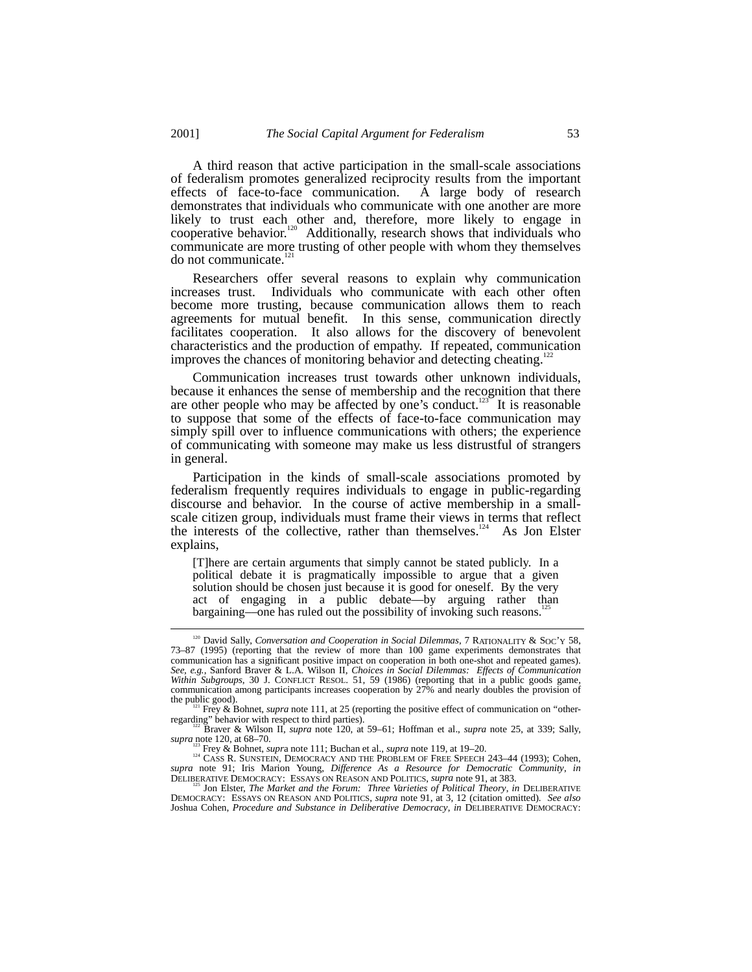A third reason that active participation in the small-scale associations of federalism promotes generalized reciprocity results from the important effects of face-to-face communication. A large body of research demonstrates that individuals who communicate with one another are more likely to trust each other and, therefore, more likely to engage in cooperative behavior.<sup>120</sup> Additionally, research shows that individuals who communicate are more trusting of other people with whom they themselves do not communicate.<sup>1</sup>

Researchers offer several reasons to explain why communication increases trust. Individuals who communicate with each other often become more trusting, because communication allows them to reach agreements for mutual benefit. In this sense, communication directly facilitates cooperation. It also allows for the discovery of benevolent characteristics and the production of empathy. If repeated, communication improves the chances of monitoring behavior and detecting cheating.<sup>1</sup>

Communication increases trust towards other unknown individuals, because it enhances the sense of membership and the recognition that there are other people who may be affected by one's conduct.<sup> $123$ </sup> It is reasonable to suppose that some of the effects of face-to-face communication may simply spill over to influence communications with others; the experience of communicating with someone may make us less distrustful of strangers in general.

Participation in the kinds of small-scale associations promoted by federalism frequently requires individuals to engage in public-regarding discourse and behavior. In the course of active membership in a smallscale citizen group, individuals must frame their views in terms that reflect the interests of the collective, rather than themselves.<sup>124</sup> As Jon Elster explains,

[T]here are certain arguments that simply cannot be stated publicly. In a political debate it is pragmatically impossible to argue that a given solution should be chosen just because it is good for oneself. By the very act of engaging in a public debate––by arguing rather than bargaining—one has ruled out the possibility of invoking such reasons.<sup>1</sup>

<sup>&</sup>lt;sup>120</sup> David Sally, *Conversation and Cooperation in Social Dilemmas*, 7 RATIONALITY & SOC'Y 58, 73–87 (1995) (reporting that the review of more than 100 game experiments demonstrates that communication has a significant positive impact on cooperation in both one-shot and repeated games). *See, e.g.*, Sanford Braver & L.A. Wilson II, *Choices in Social Dilemmas: Effects of Communication Within Subgroups*, 30 J. CONFLICT RESOL. 51, 59 (1986) (reporting that in a public goods game, communication among participants increases cooperation by 27% and nearly doubles the provision of the public good).

<sup>&</sup>lt;sup>121</sup> Frey & Bohnet, *supra* note 111, at 25 (reporting the positive effect of communication on "other-<br>regarding" behavior with respect to third parties).

<sup>&</sup>lt;sup>122</sup> Braver & Wilson II, *supra* note 120, at 59–61; Hoffman et al., *supra* note 25, at 339; Sally, *supra* note 120, at 68–70.

<sup>&</sup>lt;sup>123</sup> Frey & Bohnet, *supra* note 111; Buchan et al., *supra* note 119, at 19–20.<br><sup>124</sup> CASS R. SUNSTEIN, DEMOCRACY AND THE PROBLEM OF FREE SPEECH 243–44 (1993); Cohen, *supra* note 91; Iris Marion Young, *Difference As a Resource for Democratic Community*, *in*<br>DELIBERATIVE DEMOCRACY: ESSAYS ON REASON AND POLITICS, *supra* note 91, at 383.

Jon Elster, *The Market and the Forum: Three Varieties of Political Theory, in DELIBERATIVE* DEMOCRACY: ESSAYS ON REASON AND POLITICS, *supra* note 91, at 3, 12 (citation omitted). *See also* Joshua Cohen, *Procedure and Substance in Deliberative Democracy*, *in* DELIBERATIVE DEMOCRACY: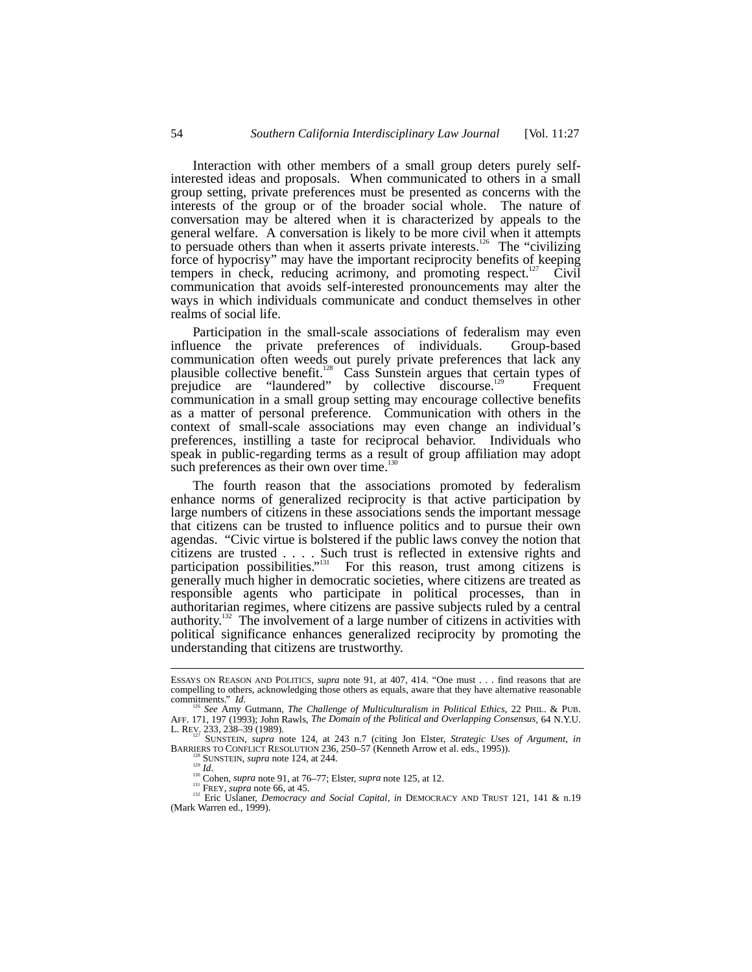Interaction with other members of a small group deters purely selfinterested ideas and proposals. When communicated to others in a small group setting, private preferences must be presented as concerns with the interests of the group or of the broader social whole. The nature of conversation may be altered when it is characterized by appeals to the general welfare. A conversation is likely to be more civil when it attempts to persuade others than when it asserts private interests.<sup>126</sup> The "civilizing" force of hypocrisy" may have the important reciprocity benefits of keeping tempers in check, reducing acrimony, and promoting respect.<sup>127</sup> Civil communication that avoids self-interested pronouncements may alter the ways in which individuals communicate and conduct themselves in other realms of social life.

Participation in the small-scale associations of federalism may even influence the private preferences of individuals. Group-based communication often weeds out purely private preferences that lack any plausible collective benefit.<sup>128</sup> Cass Sunstein argues that certain types of prejudice are "laundered" by collective discourse.<sup>129</sup> Frequent communication in a small group setting may encourage collective benefits as a matter of personal preference. Communication with others in the context of small-scale associations may even change an individual's preferences, instilling a taste for reciprocal behavior. Individuals who speak in public-regarding terms as a result of group affiliation may adopt such preferences as their own over time.<sup>1</sup>

The fourth reason that the associations promoted by federalism enhance norms of generalized reciprocity is that active participation by large numbers of citizens in these associations sends the important message that citizens can be trusted to influence politics and to pursue their own agendas. "Civic virtue is bolstered if the public laws convey the notion that citizens are trusted . . . . Such trust is reflected in extensive rights and participation possibilities."<sup>131</sup> For this reason, trust among citizens is generally much higher in democratic societies, where citizens are treated as responsible agents who participate in political processes, than in authoritarian regimes, where citizens are passive subjects ruled by a central authority.<sup>132</sup> The involvement of a large number of citizens in activities with political significance enhances generalized reciprocity by promoting the understanding that citizens are trustworthy.

ESSAYS ON REASON AND POLITICS, *supra* note 91, at 407, 414. "One must . . . find reasons that are compelling to others, acknowledging those others as equals, aware that they have alternative reasonable commitments."  $Id$ .

<sup>&</sup>lt;sup>126</sup> See Amy Gutmann, *The Challenge of Multiculturalism in Political Ethics*, 22 PHIL. & PUB.<br>AFF. 171, 197 (1993); John Rawls, *The Domain of the Political and Overlapping Consensus*, 64 N.Y.U.

L. REV. 233, 238–39 (1989).<br>
27 SUNSTEIN, *supra* note 124, at 243 n.7 (citing Jon Elster, *Strategic Uses of Argument*, *in*<br>
BARRIERS TO CONFLICT RESOLUTION 236, 250–57 (Kenneth Arrow et al. eds., 1995)). BARRIERS TO CONFLICT RESOLUTION 236, 250–57 (Kenneth Arrow et al. eds., 1995)).<br>
<sup>128</sup> SUNSTEIN, *supra* note 124, at 244.<br>
<sup>130</sup> Cohen, *supra* note 91, at 76–77; Elster, *supra* note 125, at 12.<br>
<sup>131</sup> EREY, *supra* not

<sup>(</sup>Mark Warren ed., 1999).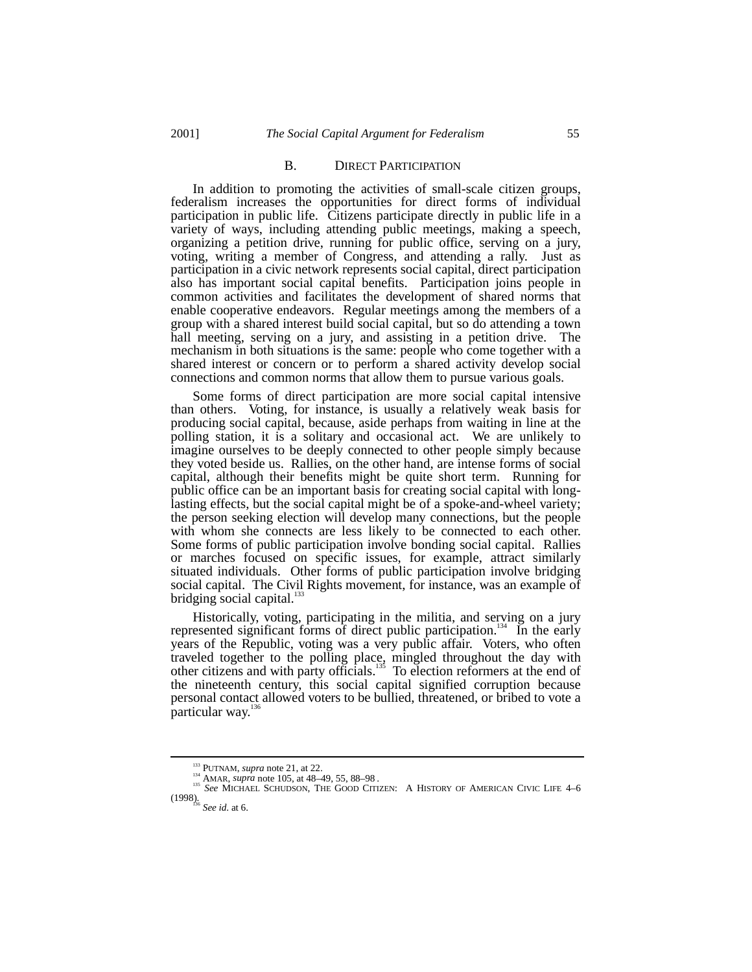#### B. DIRECT PARTICIPATION

In addition to promoting the activities of small-scale citizen groups, federalism increases the opportunities for direct forms of individual participation in public life. Citizens participate directly in public life in a variety of ways, including attending public meetings, making a speech, organizing a petition drive, running for public office, serving on a jury, voting, writing a member of Congress, and attending a rally. Just as participation in a civic network represents social capital, direct participation also has important social capital benefits. Participation joins people in common activities and facilitates the development of shared norms that enable cooperative endeavors. Regular meetings among the members of a group with a shared interest build social capital, but so do attending a town hall meeting, serving on a jury, and assisting in a petition drive. The mechanism in both situations is the same: people who come together with a shared interest or concern or to perform a shared activity develop social connections and common norms that allow them to pursue various goals.

Some forms of direct participation are more social capital intensive than others. Voting, for instance, is usually a relatively weak basis for producing social capital, because, aside perhaps from waiting in line at the polling station, it is a solitary and occasional act. We are unlikely to imagine ourselves to be deeply connected to other people simply because they voted beside us. Rallies, on the other hand, are intense forms of social capital, although their benefits might be quite short term. Running for public office can be an important basis for creating social capital with longlasting effects, but the social capital might be of a spoke-and-wheel variety; the person seeking election will develop many connections, but the people with whom she connects are less likely to be connected to each other. Some forms of public participation involve bonding social capital. Rallies or marches focused on specific issues, for example, attract similarly situated individuals. Other forms of public participation involve bridging social capital. The Civil Rights movement, for instance, was an example of bridging social capital. $\frac{1}{3}$ 

Historically, voting, participating in the militia, and serving on a jury represented significant forms of direct public participation.<sup>134</sup> In the early years of the Republic, voting was a very public affair. Voters, who often traveled together to the polling place, mingled throughout the day with other citizens and with party officials.<sup>135</sup> To election reformers at the end of the nineteenth century, this social capital signified corruption because personal contact allowed voters to be bullied, threatened, or bribed to vote a particular way.<sup>136</sup>

<sup>&</sup>lt;sup>133</sup> PUTNAM, *supra* note 21, at 22.<br><sup>134</sup> AMAR, *supra* note 105, at 48–49, 55, 88–98 .<br><sup>135</sup> *See* MICHAEL SCHUDSON, THE GOOD CITIZEN: A HISTORY OF AMERICAN CIVIC LIFE 4–6 (1998). <sup>136</sup> *See id*. at 6.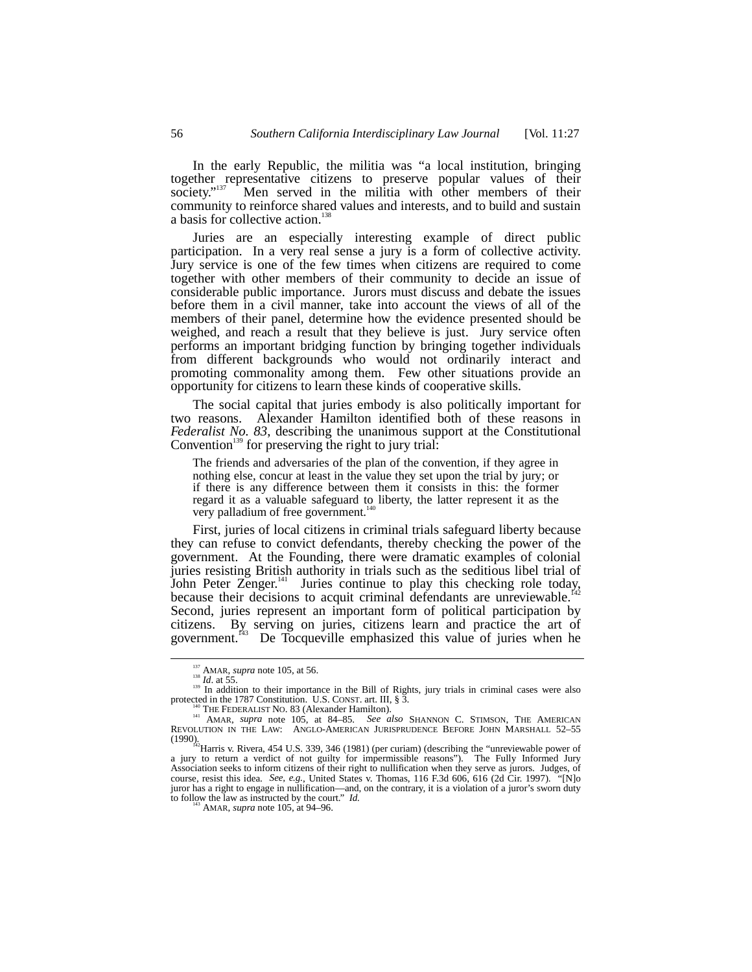In the early Republic, the militia was "a local institution, bringing together representative citizens to preserve popular values of their society."<sup>137</sup> Men served in the militia with other members of their community to reinforce shared values and interests, and to build and sustain a basis for collective action.<sup>13</sup>

Juries are an especially interesting example of direct public participation. In a very real sense a jury is a form of collective activity. Jury service is one of the few times when citizens are required to come together with other members of their community to decide an issue of considerable public importance. Jurors must discuss and debate the issues before them in a civil manner, take into account the views of all of the members of their panel, determine how the evidence presented should be weighed, and reach a result that they believe is just. Jury service often performs an important bridging function by bringing together individuals from different backgrounds who would not ordinarily interact and promoting commonality among them. Few other situations provide an opportunity for citizens to learn these kinds of cooperative skills.

The social capital that juries embody is also politically important for two reasons. Alexander Hamilton identified both of these reasons in *Federalist No. 83*, describing the unanimous support at the Constitutional Convention<sup>139</sup> for preserving the right to jury trial:

The friends and adversaries of the plan of the convention, if they agree in nothing else, concur at least in the value they set upon the trial by jury; or if there is any difference between them it consists in this: the former regard it as a valuable safeguard to liberty, the latter represent it as the very palladium of free government.<sup>1</sup>

First, juries of local citizens in criminal trials safeguard liberty because they can refuse to convict defendants, thereby checking the power of the government. At the Founding, there were dramatic examples of colonial juries resisting British authority in trials such as the seditious libel trial of John Peter Zenger.<sup>141</sup> Juries continue to play this checking role today, because their decisions to acquit criminal defendants are unreviewable.<sup>1</sup> Second, juries represent an important form of political participation by citizens. By serving on juries, citizens learn and practice the art of government.<sup>143</sup> De Tocqueville emphasized this value of juries when he

<sup>&</sup>lt;sup>137</sup> AMAR, *supra* note 105, at 56.<br><sup>138</sup> *Id*. at 55. 139 In addition to their importance in the Bill of Rights, jury trials in criminal cases were also protected in the 1787 Constitution. U.S. CONST. art. III, § 3.

protected in the 1787 Constitution. U.S. CONST. art. III, § 3. 140 THE FEDERALIST NO. 83 (Alexander Hamilton). 141 AMAR, *supra* note 105, at 84–85. *See also* SHANNON C. STIMSON, THE AMERICAN REVOLUTION IN THE LAW: ANGLO-AMERICAN JURISPRUDENCE BEFORE JOHN MARSHALL 52–55

<sup>(1990).&</sup>lt;br><sup>142</sup>Harris v. Rivera, 454 U.S. 339, 346 (1981) (per curiam) (describing the "unreviewable power of  $\frac{1}{2}$ a jury to return a verdict of not guilty for impermissible reasons"). The Fully Informed Jury Association seeks to inform citizens of their right to nullification when they serve as jurors. Judges, of course, resist this idea. *See, e.g.*, United States v. Thomas, 116 F.3d 606, 616 (2d Cir. 1997). "[N]o juror has a right to engage in nullification––and, on the contrary, it is a violation of a juror's sworn duty to follow the law as instructed by the court."  $Id$ .<br>AMAR, *supra* note 105, at 94–96.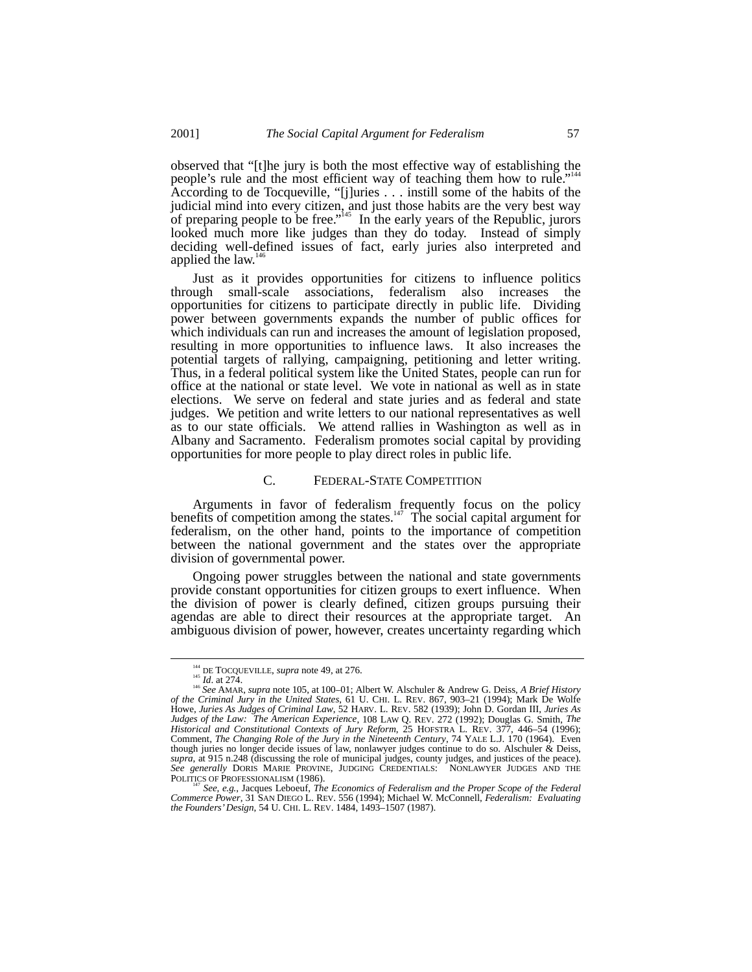observed that "[t]he jury is both the most effective way of establishing the people's rule and the most efficient way of teaching them how to rule."<sup>144</sup> According to de Tocqueville, "[j]uries . . . instill some of the habits of the judicial mind into every citizen, and just those habits are the very best way of preparing people to be free."<sup>145</sup> In the early years of the Republic, jurors looked much more like judges than they do today. Instead of simply deciding well-defined issues of fact, early juries also interpreted and applied the law. $\frac{1}{6}$ 

Just as it provides opportunities for citizens to influence politics through small-scale associations, federalism also increases the opportunities for citizens to participate directly in public life. Dividing power between governments expands the number of public offices for which individuals can run and increases the amount of legislation proposed, resulting in more opportunities to influence laws. It also increases the potential targets of rallying, campaigning, petitioning and letter writing. Thus, in a federal political system like the United States, people can run for office at the national or state level. We vote in national as well as in state elections. We serve on federal and state juries and as federal and state judges. We petition and write letters to our national representatives as well as to our state officials. We attend rallies in Washington as well as in Albany and Sacramento. Federalism promotes social capital by providing opportunities for more people to play direct roles in public life.

## C. FEDERAL-STATE COMPETITION

Arguments in favor of federalism frequently focus on the policy benefits of competition among the states.<sup>147</sup> The social capital argument for federalism, on the other hand, points to the importance of competition between the national government and the states over the appropriate division of governmental power.

Ongoing power struggles between the national and state governments provide constant opportunities for citizen groups to exert influence. When the division of power is clearly defined, citizen groups pursuing their agendas are able to direct their resources at the appropriate target. An ambiguous division of power, however, creates uncertainty regarding which

POLITICS OF PROFESSIONALISM (1986).<br><sup>147</sup> See, e.g., Jacques Leboeuf, *The Economics of Federalism and the Proper Scope of the Federal*<br>Commerce Power, 31 SAN DIEGO L. REV. 556 (1994); Michael W. McConnell, *Federalism: Ev the Founders' Design*, 54 U. CHI. L. REV. 1484, 1493–1507 (1987).

<sup>&</sup>lt;sup>144</sup> DE TOCQUEVILLE, *supra* note 49, at 276.<br><sup>145</sup> *Id.* at 274.<br><sup>146</sup> *See* AMAR, *supra* note 105, at 100–01; Albert W. Alschuler & Andrew G. Deiss, *A Brief History of the Criminal Jury in the United States*, 61 U. CHI. L. REV. 867, 903–21 (1994); Mark De Wolfe Howe, *Juries As Judges of Criminal Law*, 52 HARV. L. REV. 582 (1939); John D. Gordan III, *Juries As Judges of the Law: The American Experience*, 108 LAW Q. REV. 272 (1992); Douglas G. Smith, *The Historical and Constitutional Contexts of Jury Reform*, 25 HOFSTRA L. REV. 377, 446–54 (1996); Comment, *The Changing Role of the Jury in the Nineteenth Century*, 74 YALE L.J. 170 (1964). Even though juries no longer decide issues of law, nonlawyer judges continue to do so. Alschuler & Deiss, supra, at 915 n.248 (discussing the role of municipal judges, county judges, and justices of the peace). See generally DO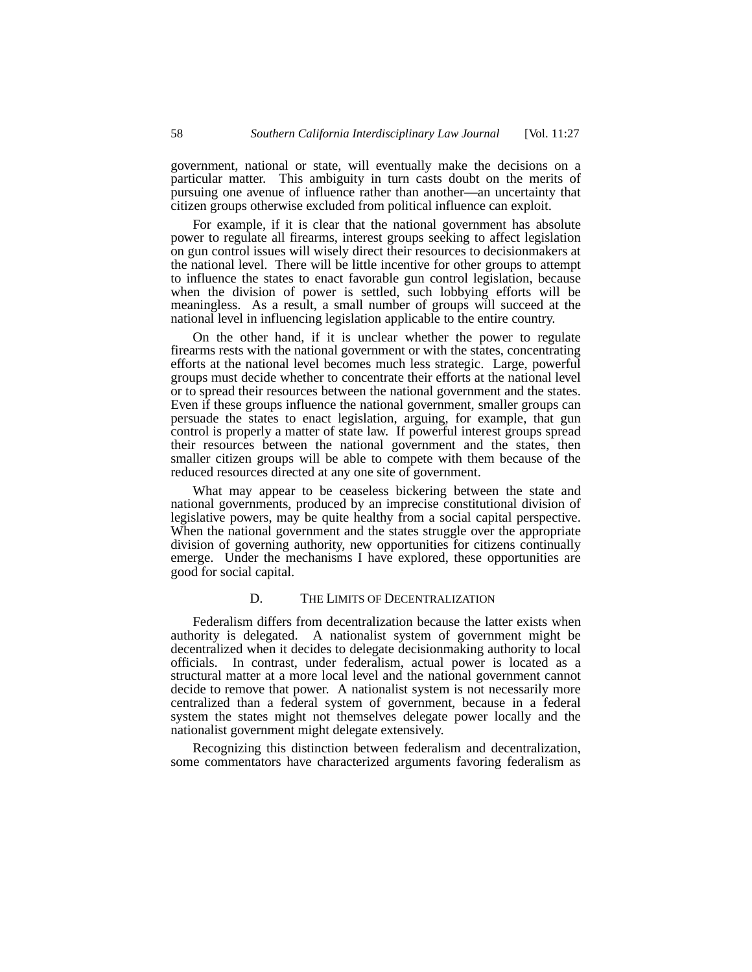government, national or state, will eventually make the decisions on a particular matter. This ambiguity in turn casts doubt on the merits of pursuing one avenue of influence rather than another––an uncertainty that citizen groups otherwise excluded from political influence can exploit.

For example, if it is clear that the national government has absolute power to regulate all firearms, interest groups seeking to affect legislation on gun control issues will wisely direct their resources to decisionmakers at the national level. There will be little incentive for other groups to attempt to influence the states to enact favorable gun control legislation, because when the division of power is settled, such lobbying efforts will be meaningless. As a result, a small number of groups will succeed at the national level in influencing legislation applicable to the entire country.

On the other hand, if it is unclear whether the power to regulate firearms rests with the national government or with the states, concentrating efforts at the national level becomes much less strategic. Large, powerful groups must decide whether to concentrate their efforts at the national level or to spread their resources between the national government and the states. Even if these groups influence the national government, smaller groups can persuade the states to enact legislation, arguing, for example, that gun control is properly a matter of state law. If powerful interest groups spread their resources between the national government and the states, then smaller citizen groups will be able to compete with them because of the reduced resources directed at any one site of government.

What may appear to be ceaseless bickering between the state and national governments, produced by an imprecise constitutional division of legislative powers, may be quite healthy from a social capital perspective. When the national government and the states struggle over the appropriate division of governing authority, new opportunities for citizens continually emerge. Under the mechanisms I have explored, these opportunities are good for social capital.

#### D. THE LIMITS OF DECENTRALIZATION

Federalism differs from decentralization because the latter exists when authority is delegated. A nationalist system of government might be decentralized when it decides to delegate decisionmaking authority to local officials. In contrast, under federalism, actual power is located as a structural matter at a more local level and the national government cannot decide to remove that power. A nationalist system is not necessarily more centralized than a federal system of government, because in a federal system the states might not themselves delegate power locally and the nationalist government might delegate extensively.

Recognizing this distinction between federalism and decentralization, some commentators have characterized arguments favoring federalism as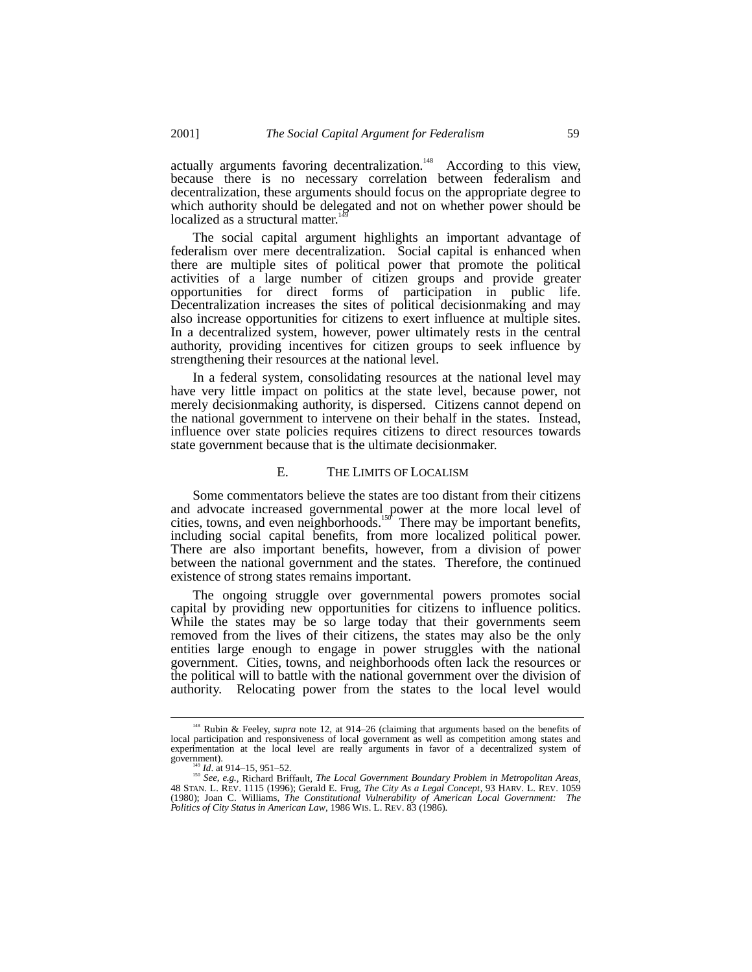actually arguments favoring decentralization.<sup>148</sup> According to this view, because there is no necessary correlation between federalism and decentralization, these arguments should focus on the appropriate degree to which authority should be delegated and not on whether power should be localized as a structural matter.

The social capital argument highlights an important advantage of federalism over mere decentralization. Social capital is enhanced when there are multiple sites of political power that promote the political activities of a large number of citizen groups and provide greater opportunities for direct forms of participation in public life. Decentralization increases the sites of political decisionmaking and may also increase opportunities for citizens to exert influence at multiple sites. In a decentralized system, however, power ultimately rests in the central authority, providing incentives for citizen groups to seek influence by strengthening their resources at the national level.

In a federal system, consolidating resources at the national level may have very little impact on politics at the state level, because power, not merely decisionmaking authority, is dispersed. Citizens cannot depend on the national government to intervene on their behalf in the states. Instead, influence over state policies requires citizens to direct resources towards state government because that is the ultimate decisionmaker.

## E. THE LIMITS OF LOCALISM

Some commentators believe the states are too distant from their citizens and advocate increased governmental power at the more local level of cities, towns, and even neighborhoods.<sup>150</sup> There may be important benefits, including social capital benefits, from more localized political power. There are also important benefits, however, from a division of power between the national government and the states. Therefore, the continued existence of strong states remains important.

The ongoing struggle over governmental powers promotes social capital by providing new opportunities for citizens to influence politics. While the states may be so large today that their governments seem removed from the lives of their citizens, the states may also be the only entities large enough to engage in power struggles with the national government. Cities, towns, and neighborhoods often lack the resources or the political will to battle with the national government over the division of authority. Relocating power from the states to the local level would

<sup>&</sup>lt;sup>148</sup> Rubin & Feeley, *supra* note 12, at 914–26 (claiming that arguments based on the benefits of local participation and responsiveness of local government as well as competition among states and experimentation at the local level are really arguments in favor of a decentralized system of government).

<sup>149</sup> *Id.* at 914–15, 951–52.<br><sup>150</sup> *See, e.g.*, Richard Briffault, *The Local Government Boundary Problem in Metropolitan Areas*, 48 STAN. L. REV. 1115 (1996); Gerald E. Frug, *The City As a Legal Concept*, 93 HARV. L. REV. 1059 (1980); Joan C. Williams, *The Constitutional Vulnerability of American Local Government: The Politics of City Status in American Law*, 1986 WIS. L. REV. 83 (1986).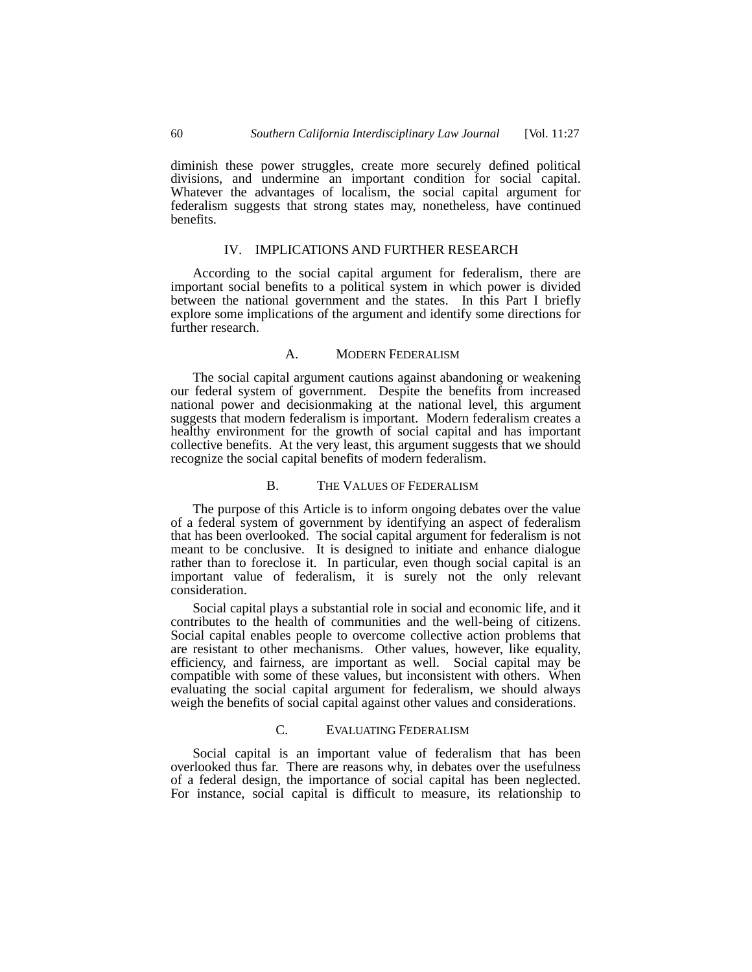diminish these power struggles, create more securely defined political divisions, and undermine an important condition for social capital. Whatever the advantages of localism, the social capital argument for federalism suggests that strong states may, nonetheless, have continued benefits.

# IV. IMPLICATIONS AND FURTHER RESEARCH

According to the social capital argument for federalism, there are important social benefits to a political system in which power is divided between the national government and the states. In this Part I briefly explore some implications of the argument and identify some directions for further research.

# A. MODERN FEDERALISM

The social capital argument cautions against abandoning or weakening our federal system of government. Despite the benefits from increased national power and decisionmaking at the national level, this argument suggests that modern federalism is important. Modern federalism creates a healthy environment for the growth of social capital and has important collective benefits. At the very least, this argument suggests that we should recognize the social capital benefits of modern federalism.

### B. THE VALUES OF FEDERALISM

The purpose of this Article is to inform ongoing debates over the value of a federal system of government by identifying an aspect of federalism that has been overlooked. The social capital argument for federalism is not meant to be conclusive. It is designed to initiate and enhance dialogue rather than to foreclose it. In particular, even though social capital is an important value of federalism, it is surely not the only relevant consideration.

Social capital plays a substantial role in social and economic life, and it contributes to the health of communities and the well-being of citizens. Social capital enables people to overcome collective action problems that are resistant to other mechanisms. Other values, however, like equality, efficiency, and fairness, are important as well. Social capital may be compatible with some of these values, but inconsistent with others. When evaluating the social capital argument for federalism, we should always weigh the benefits of social capital against other values and considerations.

# C. EVALUATING FEDERALISM

Social capital is an important value of federalism that has been overlooked thus far. There are reasons why, in debates over the usefulness of a federal design, the importance of social capital has been neglected. For instance, social capital is difficult to measure, its relationship to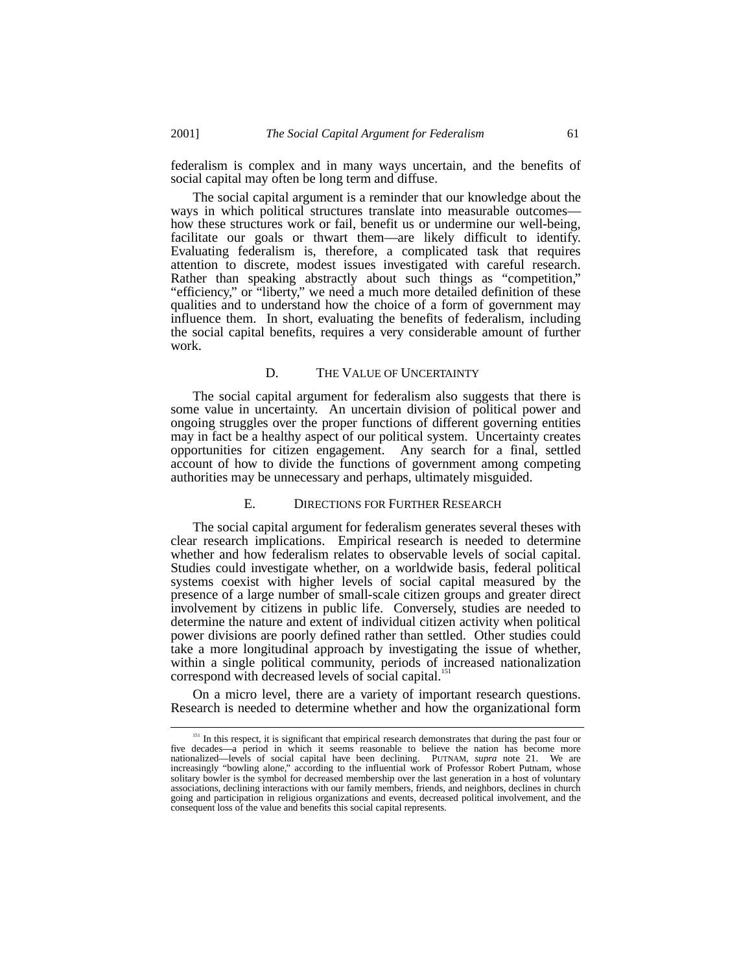federalism is complex and in many ways uncertain, and the benefits of social capital may often be long term and diffuse.

The social capital argument is a reminder that our knowledge about the ways in which political structures translate into measurable outcomes–– how these structures work or fail, benefit us or undermine our well-being, facilitate our goals or thwart them––are likely difficult to identify. Evaluating federalism is, therefore, a complicated task that requires attention to discrete, modest issues investigated with careful research. Rather than speaking abstractly about such things as "competition," "efficiency," or "liberty," we need a much more detailed definition of these qualities and to understand how the choice of a form of government may influence them. In short, evaluating the benefits of federalism, including the social capital benefits, requires a very considerable amount of further work.

### D. THE VALUE OF UNCERTAINTY

The social capital argument for federalism also suggests that there is some value in uncertainty. An uncertain division of political power and ongoing struggles over the proper functions of different governing entities may in fact be a healthy aspect of our political system. Uncertainty creates opportunities for citizen engagement. Any search for a final, settled account of how to divide the functions of government among competing authorities may be unnecessary and perhaps, ultimately misguided.

## E. DIRECTIONS FOR FURTHER RESEARCH

The social capital argument for federalism generates several theses with clear research implications. Empirical research is needed to determine whether and how federalism relates to observable levels of social capital. Studies could investigate whether, on a worldwide basis, federal political systems coexist with higher levels of social capital measured by the presence of a large number of small-scale citizen groups and greater direct involvement by citizens in public life. Conversely, studies are needed to determine the nature and extent of individual citizen activity when political power divisions are poorly defined rather than settled. Other studies could take a more longitudinal approach by investigating the issue of whether, within a single political community, periods of increased nationalization correspond with decreased levels of social capital.<sup>15</sup>

On a micro level, there are a variety of important research questions. Research is needed to determine whether and how the organizational form

<sup>&</sup>lt;sup>151</sup> In this respect, it is significant that empirical research demonstrates that during the past four or five decades—a period in which it seems reasonable to believe the nation has become more<br>nationalized—levels of social capital have been declining. PUTNAM, *supra* note 21. We are<br>increasingly "bowling alone," according to solitary bowler is the symbol for decreased membership over the last generation in a host of voluntary associations, declining interactions with our family members, friends, and neighbors, declines in church going and participation in religious organizations and events, decreased political involvement, and the consequent loss of the value and benefits this social capital represents.